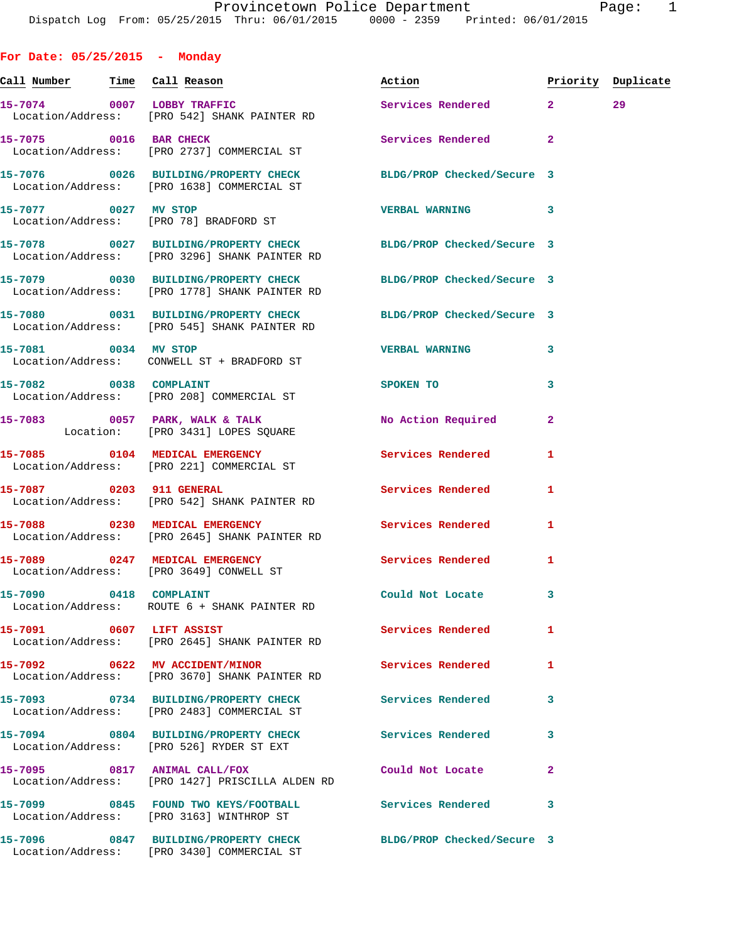**For Date: 05/25/2015 - Monday Call Number Time Call Reason Action Priority Duplicate 15-7074 0007 LOBBY TRAFFIC Services Rendered 2 29**  Location/Address: [PRO 542] SHANK PAINTER RD 15-7075 0016 BAR CHECK **Services Rendered** 2 Location/Address: [PRO 2737] COMMERCIAL ST **15-7076 0026 BUILDING/PROPERTY CHECK BLDG/PROP Checked/Secure 3**  Location/Address: [PRO 1638] COMMERCIAL ST **15-7077 0027 MV STOP VERBAL WARNING 3**  Location/Address: [PRO 78] BRADFORD ST **15-7078 0027 BUILDING/PROPERTY CHECK BLDG/PROP Checked/Secure 3**  Location/Address: [PRO 3296] SHANK PAINTER RD **15-7079 0030 BUILDING/PROPERTY CHECK BLDG/PROP Checked/Secure 3**  Location/Address: [PRO 1778] SHANK PAINTER RD **15-7080 0031 BUILDING/PROPERTY CHECK BLDG/PROP Checked/Secure 3**  Location/Address: [PRO 545] SHANK PAINTER RD **15-7081 0034 MV STOP VERBAL WARNING 3**  Location/Address: CONWELL ST + BRADFORD ST **15-7082** 0038 COMPLAINT SPOKEN TO 3 Location/Address: [PRO 208] COMMERCIAL ST **15-7083 0057 PARK, WALK & TALK No Action Required 2**  Location: [PRO 3431] LOPES SQUARE **15-7085 0104 MEDICAL EMERGENCY Services Rendered 1**  Location/Address: [PRO 221] COMMERCIAL ST **15-7087 0203 911 GENERAL Services Rendered 1**  Location/Address: [PRO 542] SHANK PAINTER RD **15-7088 0230 MEDICAL EMERGENCY Services Rendered 1**  Location/Address: [PRO 2645] SHANK PAINTER RD **15-7089 0247 MEDICAL EMERGENCY Services Rendered 1**  Location/Address: [PRO 3649] CONWELL ST **15-7090 0418 COMPLAINT Could Not Locate 3**  Location/Address: ROUTE 6 + SHANK PAINTER RD **15-7091 0607 LIFT ASSIST Services Rendered 1**  Location/Address: [PRO 2645] SHANK PAINTER RD **15-7092 0622 MV ACCIDENT/MINOR Services Rendered 1**  Location/Address: [PRO 3670] SHANK PAINTER RD **15-7093 0734 BUILDING/PROPERTY CHECK Services Rendered 3**  Location/Address: [PRO 2483] COMMERCIAL ST **15-7094 0804 BUILDING/PROPERTY CHECK Services Rendered 3**  Location/Address: [PRO 526] RYDER ST EXT **15-7095 0817 ANIMAL CALL/FOX Could Not Locate 2**  Location/Address: [PRO 1427] PRISCILLA ALDEN RD **15-7099 0845 FOUND TWO KEYS/FOOTBALL Services Rendered 3** 

Location/Address: [PRO 3163] WINTHROP ST

Location/Address: [PRO 3430] COMMERCIAL ST

**15-7096 0847 BUILDING/PROPERTY CHECK BLDG/PROP Checked/Secure 3**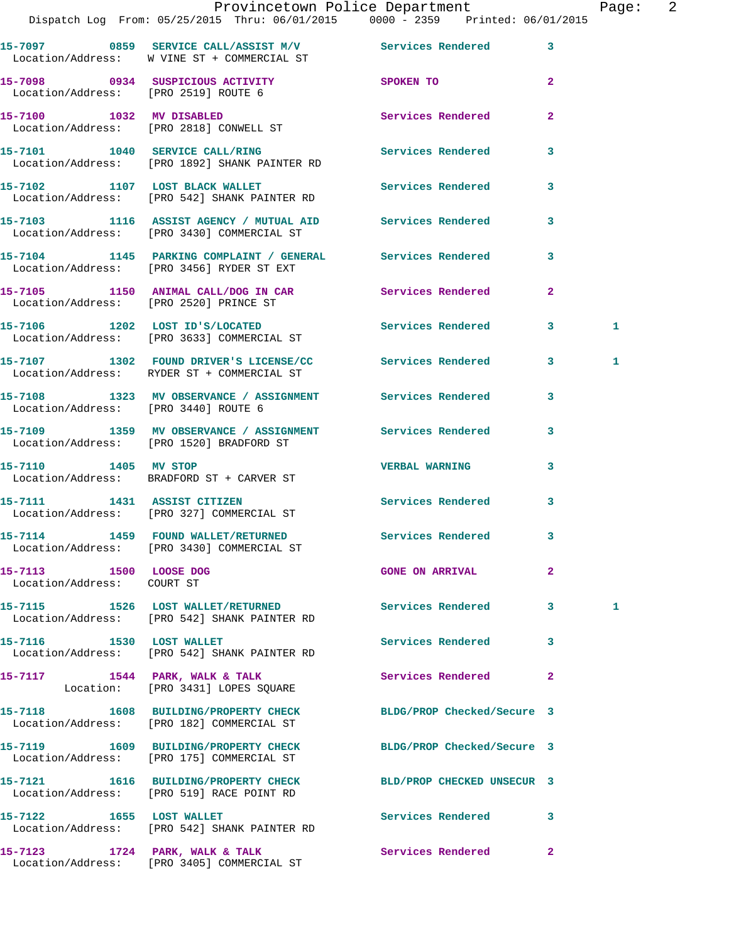|                                                      | Provincetown Police Department<br>Dispatch Log From: 05/25/2015 Thru: 06/01/2015 0000 - 2359 Printed: 06/01/2015 |                        |                         | Page: | $\overline{\phantom{0}}^2$ |
|------------------------------------------------------|------------------------------------------------------------------------------------------------------------------|------------------------|-------------------------|-------|----------------------------|
|                                                      | 15-7097 0859 SERVICE CALL/ASSIST M/V Services Rendered 3<br>Location/Address: W VINE ST + COMMERCIAL ST          |                        |                         |       |                            |
|                                                      | 15-7098 0934 SUSPICIOUS ACTIVITY<br>Location/Address: [PRO 2519] ROUTE 6                                         | SPOKEN TO              | $\mathbf{2}$            |       |                            |
|                                                      | 15-7100 1032 MV DISABLED<br>Location/Address: [PRO 2818] CONWELL ST                                              | Services Rendered      | $\mathbf{2}$            |       |                            |
|                                                      | 15-7101 1040 SERVICE CALL/RING<br>Location/Address: [PRO 1892] SHANK PAINTER RD                                  | Services Rendered 3    |                         |       |                            |
|                                                      | 15-7102 1107 LOST BLACK WALLET Services Rendered 3<br>Location/Address: [PRO 542] SHANK PAINTER RD               |                        |                         |       |                            |
|                                                      | 15-7103 1116 ASSIST AGENCY / MUTUAL AID Services Rendered 3<br>Location/Address: [PRO 3430] COMMERCIAL ST        |                        |                         |       |                            |
|                                                      | 15-7104 1145 PARKING COMPLAINT / GENERAL Services Rendered<br>Location/Address: [PRO 3456] RYDER ST EXT          |                        | $\overline{\mathbf{3}}$ |       |                            |
|                                                      | 15-7105 1150 ANIMAL CALL/DOG IN CAR Services Rendered 2<br>Location/Address: [PRO 2520] PRINCE ST                |                        |                         |       |                            |
|                                                      | 15-7106 1202 LOST ID'S/LOCATED Services Rendered 3<br>Location/Address: [PRO 3633] COMMERCIAL ST                 |                        |                         | 1     |                            |
|                                                      | 15-7107 1302 FOUND DRIVER'S LICENSE/CC Services Rendered 3<br>Location/Address: RYDER ST + COMMERCIAL ST         |                        |                         | 1     |                            |
|                                                      | 15-7108 1323 MV OBSERVANCE / ASSIGNMENT Services Rendered 3<br>Location/Address: [PRO 3440] ROUTE 6              |                        |                         |       |                            |
|                                                      | 15-7109 1359 MV OBSERVANCE / ASSIGNMENT Services Rendered 3<br>Location/Address: [PRO 1520] BRADFORD ST          |                        |                         |       |                            |
|                                                      | 15-7110 1405 MV STOP<br>Location/Address: BRADFORD ST + CARVER ST                                                | VERBAL WARNING 3       |                         |       |                            |
| 15-7111 1431 ASSIST CITIZEN                          | Location/Address: [PRO 327] COMMERCIAL ST                                                                        | Services Rendered      |                         |       |                            |
|                                                      | 15-7114 1459 FOUND WALLET/RETURNED<br>Location/Address: [PRO 3430] COMMERCIAL ST                                 | Services Rendered      | 3                       |       |                            |
| 15-7113 1500 LOOSE DOG<br>Location/Address: COURT ST |                                                                                                                  | <b>GONE ON ARRIVAL</b> | $\mathbf{2}$            |       |                            |
|                                                      | 15-7115 1526 LOST WALLET/RETURNED<br>Location/Address: [PRO 542] SHANK PAINTER RD                                | Services Rendered      | 3                       | 1     |                            |
| 1530 LOST WALLET<br>15-7116                          | Location/Address: [PRO 542] SHANK PAINTER RD                                                                     | Services Rendered      | 3                       |       |                            |

Location/Address: [PRO 175] COMMERCIAL ST

15-7117 1544 PARK, WALK & TALK **Services Rendered** 2 Location: [PRO 3431] LOPES SQUARE

**15-7118 1608 BUILDING/PROPERTY CHECK BLDG/PROP Checked/Secure 3**  Location/Address: [PRO 182] COMMERCIAL ST

**15-7119 1609 BUILDING/PROPERTY CHECK BLDG/PROP Checked/Secure 3** 

**15-7121 1616 BUILDING/PROPERTY CHECK BLD/PROP CHECKED UNSECUR 3**  Location/Address: [PRO 519] RACE POINT RD

**15-7122 1655 LOST WALLET Services Rendered 3**  Location/Address: [PRO 542] SHANK PAINTER RD

15-7123 1724 PARK, WALK & TALK Services Rendered 2 Location/Address: [PRO 3405] COMMERCIAL ST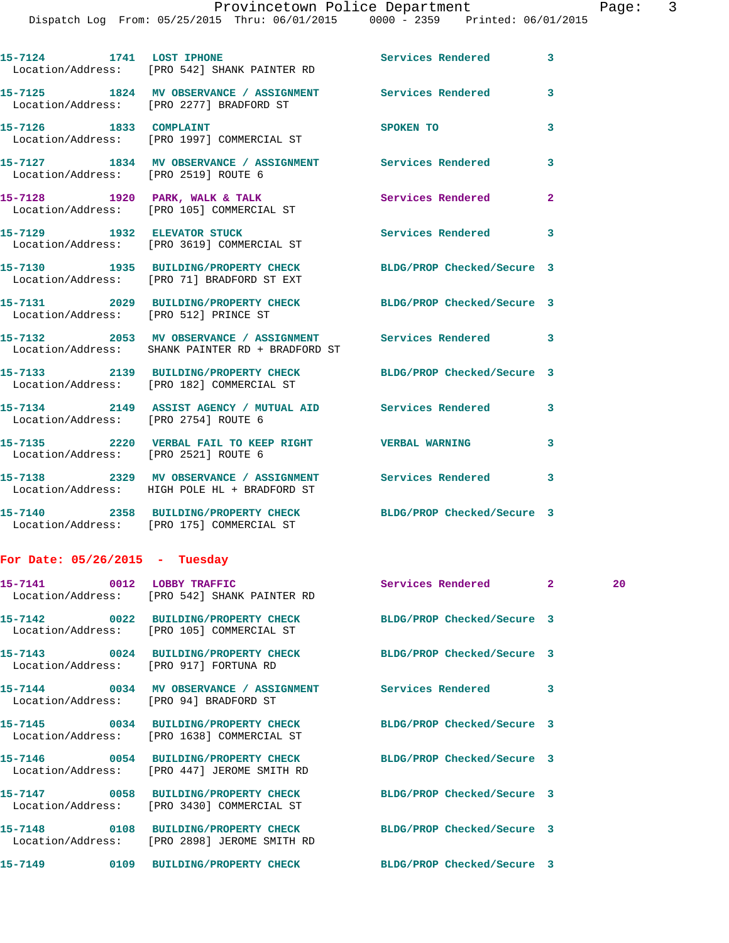|                                       |                                                                                                                 | Provincetown Police Department Page: 3 |              |    |  |
|---------------------------------------|-----------------------------------------------------------------------------------------------------------------|----------------------------------------|--------------|----|--|
|                                       | Dispatch Log From: 05/25/2015 Thru: 06/01/2015 0000 - 2359 Printed: 06/01/2015                                  |                                        |              |    |  |
|                                       | 15-7124 1741 LOST IPHONE Services Rendered 3<br>Location/Address: [PRO 542] SHANK PAINTER RD                    |                                        |              |    |  |
|                                       | 15-7125 1824 MV OBSERVANCE / ASSIGNMENT Services Rendered 3<br>Location/Address: [PRO 2277] BRADFORD ST         |                                        |              |    |  |
|                                       | 15-7126 1833 COMPLAINT<br>Location/Address: [PRO 1997] COMMERCIAL ST                                            | <b>SPOKEN TO</b>                       | $\mathbf{3}$ |    |  |
| Location/Address: [PRO 2519] ROUTE 6  | 15-7127 1834 MV OBSERVANCE / ASSIGNMENT Services Rendered                                                       |                                        | $\mathbf{3}$ |    |  |
|                                       | 15-7128 1920 PARK, WALK & TALK ST Services Rendered 2<br>Location/Address: [PRO 105] COMMERCIAL ST              |                                        |              |    |  |
|                                       | 15-7129 1932 ELEVATOR STUCK<br>Location/Address: [PRO 3619] COMMERCIAL ST                                       | Services Rendered 3                    |              |    |  |
|                                       | 15-7130 1935 BUILDING/PROPERTY CHECK BLDG/PROP Checked/Secure 3<br>Location/Address: [PRO 71] BRADFORD ST EXT   |                                        |              |    |  |
| Location/Address: [PRO 512] PRINCE ST | 15-7131 2029 BUILDING/PROPERTY CHECK BLDG/PROP Checked/Secure 3                                                 |                                        |              |    |  |
|                                       | 15-7132 2053 MV OBSERVANCE / ASSIGNMENT Services Rendered 3<br>Location/Address: SHANK PAINTER RD + BRADFORD ST |                                        |              |    |  |
|                                       | 15-7133 2139 BUILDING/PROPERTY CHECK BLDG/PROP Checked/Secure 3<br>Location/Address: [PRO 182] COMMERCIAL ST    |                                        |              |    |  |
| Location/Address: [PRO 2754] ROUTE 6  | 15-7134 2149 ASSIST AGENCY / MUTUAL AID Services Rendered 3                                                     |                                        |              |    |  |
| Location/Address: [PRO 2521] ROUTE 6  | 15-7135 2220 VERBAL FAIL TO KEEP RIGHT WERBAL WARNING 3                                                         |                                        |              |    |  |
|                                       | 15-7138 2329 MV OBSERVANCE / ASSIGNMENT Services Rendered<br>Location/Address: HIGH POLE HL + BRADFORD ST       |                                        | 3            |    |  |
|                                       | 15-7140 2358 BUILDING/PROPERTY CHECK BLDG/PROP Checked/Secure 3<br>Location/Address: [PRO 175] COMMERCIAL ST    |                                        |              |    |  |
| For Date: $05/26/2015$ - Tuesday      |                                                                                                                 |                                        |              |    |  |
|                                       | 15-7141 0012 LOBBY TRAFFIC<br>Location/Address: [PRO 542] SHANK PAINTER RD                                      | Services Rendered 2                    |              | 20 |  |
|                                       | 15-7142 0022 BUILDING/PROPERTY CHECK<br>Location/Address: [PRO 105] COMMERCIAL ST                               | BLDG/PROP Checked/Secure 3             |              |    |  |
|                                       | 15-7143 0024 BUILDING/PROPERTY CHECK<br>Location/Address: [PRO 917] FORTUNA RD                                  | BLDG/PROP Checked/Secure 3             |              |    |  |
|                                       | 15-7144 0034 MV OBSERVANCE / ASSIGNMENT<br>Location/Address: [PRO 94] BRADFORD ST                               | Services Rendered 3                    |              |    |  |
|                                       | 15-7145 0034 BUILDING/PROPERTY CHECK<br>Location/Address: [PRO 1638] COMMERCIAL ST                              | BLDG/PROP Checked/Secure 3             |              |    |  |
|                                       | 15-7146 0054 BUILDING/PROPERTY CHECK<br>Location/Address: [PRO 447] JEROME SMITH RD                             | BLDG/PROP Checked/Secure 3             |              |    |  |
|                                       | 15-7147 0058 BUILDING/PROPERTY CHECK<br>Location/Address: [PRO 3430] COMMERCIAL ST                              | BLDG/PROP Checked/Secure 3             |              |    |  |
|                                       | 15-7148 0108 BUILDING/PROPERTY CHECK                                                                            | BLDG/PROP Checked/Secure 3             |              |    |  |

**15-7149 0109 BUILDING/PROPERTY CHECK BLDG/PROP Checked/Secure 3** 

Location/Address: [PRO 2898] JEROME SMITH RD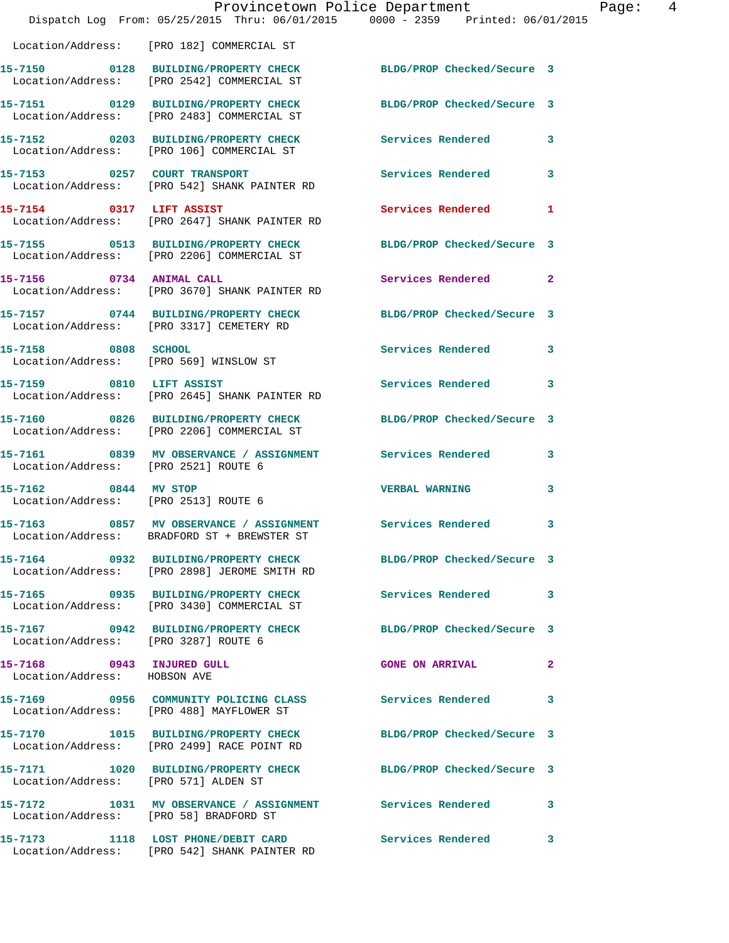|                                                           | Provincetown Police Department<br>Dispatch Log From: 05/25/2015 Thru: 06/01/2015 0000 - 2359 Printed: 06/01/2015             |                            | Page: 4      |
|-----------------------------------------------------------|------------------------------------------------------------------------------------------------------------------------------|----------------------------|--------------|
|                                                           | Location/Address: [PRO 182] COMMERCIAL ST                                                                                    |                            |              |
|                                                           | 15-7150 0128 BUILDING/PROPERTY CHECK BLDG/PROP Checked/Secure 3<br>Location/Address: [PRO 2542] COMMERCIAL ST                |                            |              |
|                                                           | 15-7151 0129 BUILDING/PROPERTY CHECK BLDG/PROP Checked/Secure 3<br>Location/Address: [PRO 2483] COMMERCIAL ST                |                            |              |
|                                                           | 15-7152 0203 BUILDING/PROPERTY CHECK Services Rendered 3<br>Location/Address: [PRO 106] COMMERCIAL ST                        |                            |              |
|                                                           | 15-7153 0257 COURT TRANSPORT<br>Location/Address: [PRO 542] SHANK PAINTER RD                                                 | Services Rendered          | $\mathbf{3}$ |
|                                                           | 15-7154 0317 LIFT ASSIST<br>Location/Address: [PRO 2647] SHANK PAINTER RD                                                    | Services Rendered          | $\mathbf{1}$ |
|                                                           | 15-7155 0513 BUILDING/PROPERTY CHECK<br>Location/Address: [PRO 2206] COMMERCIAL ST                                           | BLDG/PROP Checked/Secure 3 |              |
|                                                           | 15-7156 0734 ANIMAL CALL<br>Location/Address: [PRO 3670] SHANK PAINTER RD                                                    | Services Rendered 2        |              |
|                                                           | 15-7157 0744 BUILDING/PROPERTY CHECK<br>Location/Address: [PRO 3317] CEMETERY RD                                             | BLDG/PROP Checked/Secure 3 |              |
| 15-7158 0808 SCHOOL                                       | Location/Address: [PRO 569] WINSLOW ST                                                                                       | Services Rendered 3        |              |
| 15-7159 0810 LIFT ASSIST                                  | Location/Address: [PRO 2645] SHANK PAINTER RD                                                                                | Services Rendered 3        |              |
|                                                           | 15-7160 0826 BUILDING/PROPERTY CHECK<br>Location/Address: [PRO 2206] COMMERCIAL ST                                           | BLDG/PROP Checked/Secure 3 |              |
| Location/Address: [PRO 2521] ROUTE 6                      | 15-7161 0839 MV OBSERVANCE / ASSIGNMENT Services Rendered 3                                                                  |                            |              |
| 15-7162 0844 MV STOP                                      | Location/Address: [PRO 2513] ROUTE 6                                                                                         | <b>VERBAL WARNING</b>      | 3            |
|                                                           | 15-7163 6857 MV OBSERVANCE / ASSIGNMENT Services Rendered<br>Location/Address: BRADFORD ST + BREWSTER ST                     |                            | 3            |
|                                                           | 15-7164      0932  BUILDING/PROPERTY CHECK        BLDG/PROP Checked/Secure 3<br>Location/Address: [PRO 2898] JEROME SMITH RD |                            |              |
|                                                           | 15-7165 0935 BUILDING/PROPERTY CHECK<br>Location/Address: [PRO 3430] COMMERCIAL ST                                           | Services Rendered 3        |              |
| Location/Address: [PRO 3287] ROUTE 6                      | 15-7167 		 0942 BUILDING/PROPERTY CHECK 		 BLDG/PROP Checked/Secure 3                                                        |                            |              |
| 15-7168 0943 INJURED GULL<br>Location/Address: HOBSON AVE |                                                                                                                              | GONE ON ARRIVAL 2          |              |
|                                                           | 15-7169 		 0956 COMMUNITY POLICING CLASS Services Rendered 3<br>Location/Address: [PRO 488] MAYFLOWER ST                     |                            |              |
|                                                           | 15-7170 1015 BUILDING/PROPERTY CHECK<br>Location/Address: [PRO 2499] RACE POINT RD                                           | BLDG/PROP Checked/Secure 3 |              |
| Location/Address: [PRO 571] ALDEN ST                      | 15-7171 1020 BUILDING/PROPERTY CHECK BLDG/PROP Checked/Secure 3                                                              |                            |              |
|                                                           | 15-7172 1031 MV OBSERVANCE / ASSIGNMENT Services Rendered<br>Location/Address: [PRO 58] BRADFORD ST                          |                            | 3            |
|                                                           | 15-7173 1118 LOST PHONE/DEBIT CARD Services Rendered 3<br>Location/Address: [PRO 542] SHANK PAINTER RD                       |                            |              |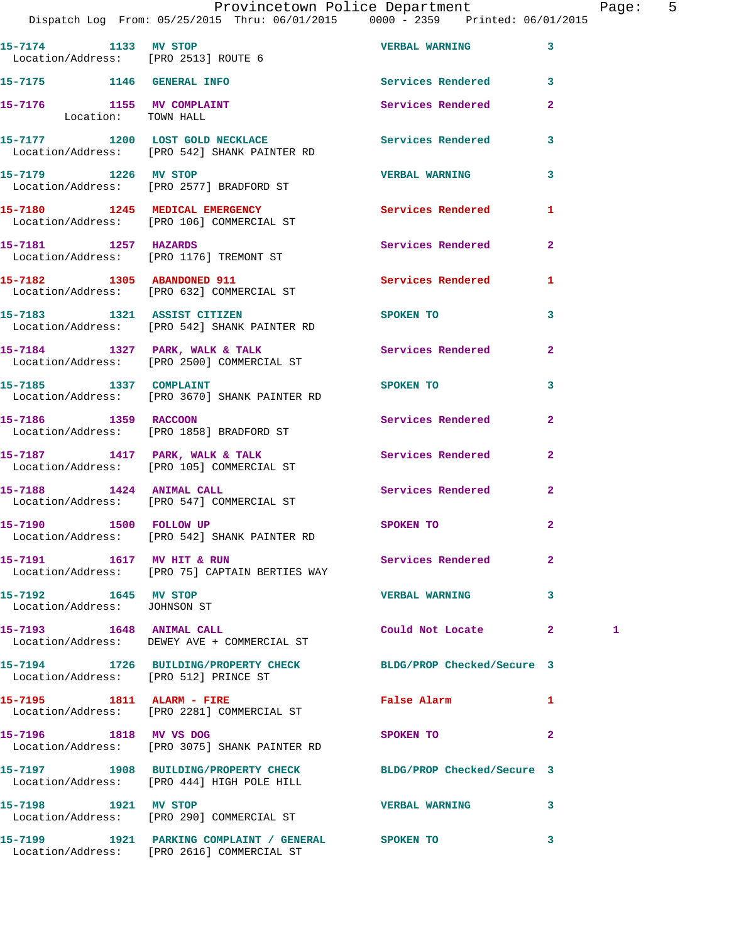|                                                              | Dispatch Log From: 05/25/2015 Thru: 06/01/2015 0000 - 2359 Printed: 06/01/2015                                | Provincetown Police Department        |                | Page: 5 |  |
|--------------------------------------------------------------|---------------------------------------------------------------------------------------------------------------|---------------------------------------|----------------|---------|--|
| 15-7174 1133 MV STOP<br>Location/Address: [PRO 2513] ROUTE 6 |                                                                                                               | <b>VERBAL WARNING 3</b>               |                |         |  |
|                                                              | 15-7175 1146 GENERAL INFO                                                                                     | Services Rendered 3                   |                |         |  |
| 15-7176 1155 MV COMPLAINT<br>Location: TOWN HALL             |                                                                                                               | Services Rendered                     | $\overline{2}$ |         |  |
|                                                              | 15-7177 1200 LOST GOLD NECKLACE<br>Location/Address: [PRO 542] SHANK PAINTER RD                               | Services Rendered 3                   |                |         |  |
|                                                              | 15-7179 1226 MV STOP<br>Location/Address: [PRO 2577] BRADFORD ST                                              | <b>VERBAL WARNING</b>                 | $\mathbf{3}$   |         |  |
|                                                              | 15-7180 1245 MEDICAL EMERGENCY Services Rendered 1<br>Location/Address: [PRO 106] COMMERCIAL ST               |                                       |                |         |  |
|                                                              | 15-7181 1257 HAZARDS<br>Location/Address: [PRO 1176] TREMONT ST                                               | Services Rendered                     | $\mathbf{2}$   |         |  |
|                                                              | 15-7182 1305 ABANDONED 911<br>Location/Address: [PRO 632] COMMERCIAL ST                                       | Services Rendered 1                   |                |         |  |
|                                                              | 15-7183 1321 ASSIST CITIZEN<br>Location/Address: [PRO 542] SHANK PAINTER RD                                   | SPOKEN TO THE SPOKEN OF THE SPOKEN TO | 3              |         |  |
|                                                              | 15-7184 1327 PARK, WALK & TALK<br>Location/Address: [PRO 2500] COMMERCIAL ST                                  | Services Rendered                     | $\mathbf{2}$   |         |  |
|                                                              | 15-7185 1337 COMPLAINT<br>Location/Address: [PRO 3670] SHANK PAINTER RD                                       | SPOKEN TO                             | 3              |         |  |
| 15-7186 1359 RACCOON                                         | Location/Address: [PRO 1858] BRADFORD ST                                                                      | Services Rendered                     | $\mathbf{2}$   |         |  |
|                                                              | 15-7187 1417 PARK, WALK & TALK<br>Location/Address: [PRO 105] COMMERCIAL ST                                   | Services Rendered                     | $\mathbf{2}$   |         |  |
|                                                              | 15-7188 1424 ANIMAL CALL<br>Location/Address: [PRO 547] COMMERCIAL ST                                         | Services Rendered                     | $\mathbf{2}$   |         |  |
| 15-7190 1500 FOLLOW UP                                       | Location/Address: [PRO 542] SHANK PAINTER RD                                                                  | SPOKEN TO                             | $\mathbf{2}$   |         |  |
| 15-7191 1617 MV HIT & RUN                                    | Location/Address: [PRO 75] CAPTAIN BERTIES WAY                                                                | Services Rendered 2                   |                |         |  |
| 15-7192 1645 MV STOP<br>Location/Address: JOHNSON ST         |                                                                                                               | VERBAL WARNING 3                      |                |         |  |
| 15-7193 1648 ANIMAL CALL                                     | Location/Address: DEWEY AVE + COMMERCIAL ST                                                                   | Could Not Locate 2                    |                | 1       |  |
| Location/Address: [PRO 512] PRINCE ST                        | 15-7194 1726 BUILDING/PROPERTY CHECK BLDG/PROP Checked/Secure 3                                               |                                       |                |         |  |
| 15-7195 1811 ALARM - FIRE                                    | Location/Address: [PRO 2281] COMMERCIAL ST                                                                    | False Alarm <b>Francisco Execute</b>  | $\mathbf{1}$   |         |  |
|                                                              | 15-7196 1818 MV VS DOG<br>Location/Address: [PRO 3075] SHANK PAINTER RD                                       | SPOKEN TO                             | $\mathbf{2}$   |         |  |
|                                                              | 15-7197 1908 BUILDING/PROPERTY CHECK BLDG/PROP Checked/Secure 3<br>Location/Address: [PRO 444] HIGH POLE HILL |                                       |                |         |  |
| 15-7198 1921 MV STOP                                         | Location/Address: [PRO 290] COMMERCIAL ST                                                                     | <b>VERBAL WARNING</b>                 | 3              |         |  |
|                                                              |                                                                                                               |                                       | $\mathbf{3}$   |         |  |

Location/Address: [PRO 2616] COMMERCIAL ST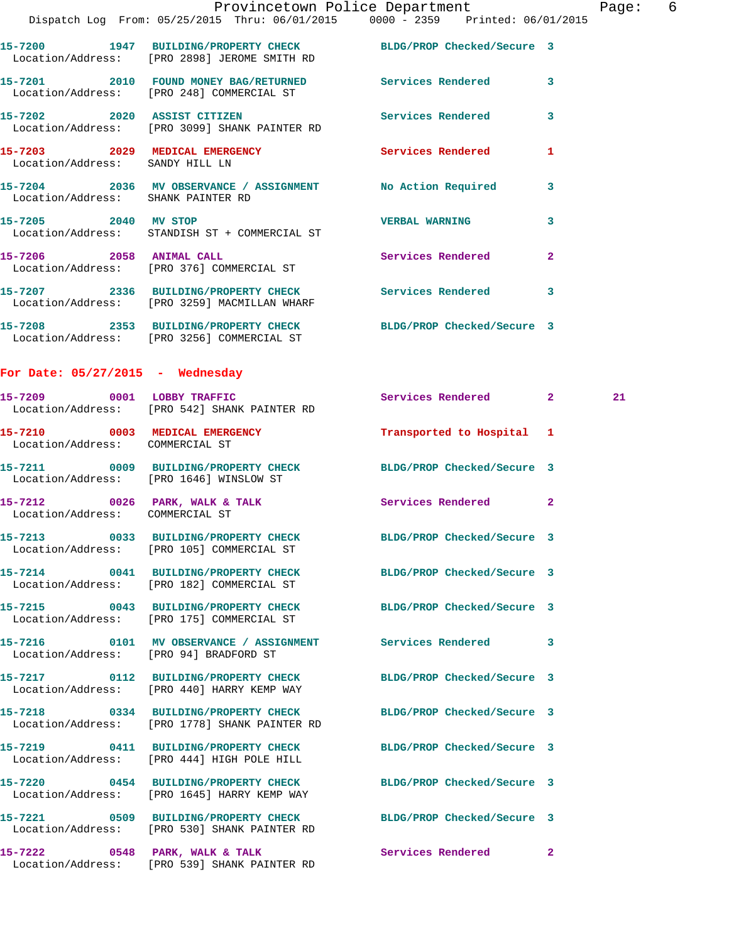|                                    |                                                                            | Provincetown Police Department                                                 |                | Page |
|------------------------------------|----------------------------------------------------------------------------|--------------------------------------------------------------------------------|----------------|------|
|                                    |                                                                            | Dispatch Log From: 05/25/2015 Thru: 06/01/2015 0000 - 2359 Printed: 06/01/2015 |                |      |
|                                    | Location/Address: [PRO 2898] JEROME SMITH RD                               | 15-7200 1947 BUILDING/PROPERTY CHECK BLDG/PROP Checked/Secure 3                |                |      |
|                                    | Location/Address: [PRO 248] COMMERCIAL ST                                  | 15-7201 2010 FOUND MONEY BAG/RETURNED Services Rendered 3                      |                |      |
|                                    | Location/Address: [PRO 3099] SHANK PAINTER RD                              | 15-7202 2020 ASSIST CITIZEN Services Rendered 3                                |                |      |
| Location/Address: SANDY HILL LN    |                                                                            | 15-7203 2029 MEDICAL EMERGENCY Services Rendered                               | $\mathbf{1}$   |      |
| Location/Address: SHANK PAINTER RD |                                                                            | 15-7204 2036 MV OBSERVANCE / ASSIGNMENT No Action Required 3                   |                |      |
| 15-7205 2040 MV STOP               | Location/Address: STANDISH ST + COMMERCIAL ST                              | <b>VERBAL WARNING</b>                                                          | 3              |      |
|                                    | 15-7206 2058 ANIMAL CALL<br>Location/Address: [PRO 376] COMMERCIAL ST      | Services Rendered                                                              | $\overline{a}$ |      |
|                                    | Location/Address: [PRO 3259] MACMILLAN WHARF                               | 15-7207 2336 BUILDING/PROPERTY CHECK Services Rendered 3                       |                |      |
|                                    | Location/Address: [PRO 3256] COMMERCIAL ST                                 | 15-7208 2353 BUILDING/PROPERTY CHECK BLDG/PROP Checked/Secure 3                |                |      |
| For Date: $05/27/2015$ - Wednesday |                                                                            |                                                                                |                |      |
|                                    | 15-7209 0001 LOBBY TRAFFIC<br>Location/Address: [PRO 542] SHANK PAINTER RD | Services Rendered 2                                                            |                | 21   |
| Location/Address: COMMERCIAL ST    |                                                                            | 15-7210 0003 MEDICAL EMERGENCY Transported to Hospital 1                       |                |      |
|                                    | Location/Address: [PRO 1646] WINSLOW ST                                    | 15-7211 0009 BUILDING/PROPERTY CHECK BLDG/PROP Checked/Secure 3                |                |      |
| Location/Address: COMMERCIAL ST    |                                                                            | 15-7212 0026 PARK, WALK & TALK 3 Services Rendered 2                           |                |      |
|                                    | Location/Address: [PRO 105] COMMERCIAL ST                                  | 15-7213 0033 BUILDING/PROPERTY CHECK BLDG/PROP Checked/Secure 3                |                |      |

Location/Address: [PRO 182] COMMERCIAL ST

**15-7215 0043 BUILDING/PROPERTY CHECK BLDG/PROP Checked/Secure 3**  Location/Address: [PRO 175] COMMERCIAL ST

Location/Address: [PRO 444] HIGH POLE HILL

Location/Address: [PRO 1645] HARRY KEMP WAY

Location/Address: [PRO 94] BRADFORD ST

Location/Address: [PRO 440] HARRY KEMP WAY

**15-7218 0334 BUILDING/PROPERTY CHECK BLDG/PROP Checked/Secure 3**  Location/Address: [PRO 1778] SHANK PAINTER RD

**15-7219 0411 BUILDING/PROPERTY CHECK BLDG/PROP Checked/Secure 3** 

**15-7220 0454 BUILDING/PROPERTY CHECK BLDG/PROP Checked/Secure 3** 

**15-7221 0509 BUILDING/PROPERTY CHECK BLDG/PROP Checked/Secure 3**  Location/Address: [PRO 530] SHANK PAINTER RD

15-7222 0548 PARK, WALK & TALK Services Rendered 2 Location/Address: [PRO 539] SHANK PAINTER RD

**15-7214 0041 BUILDING/PROPERTY CHECK BLDG/PROP Checked/Secure 3** 

**15-7216 0101 MV OBSERVANCE / ASSIGNMENT Services Rendered 3** 

**15-7217 0112 BUILDING/PROPERTY CHECK BLDG/PROP Checked/Secure 3** 

Page: 6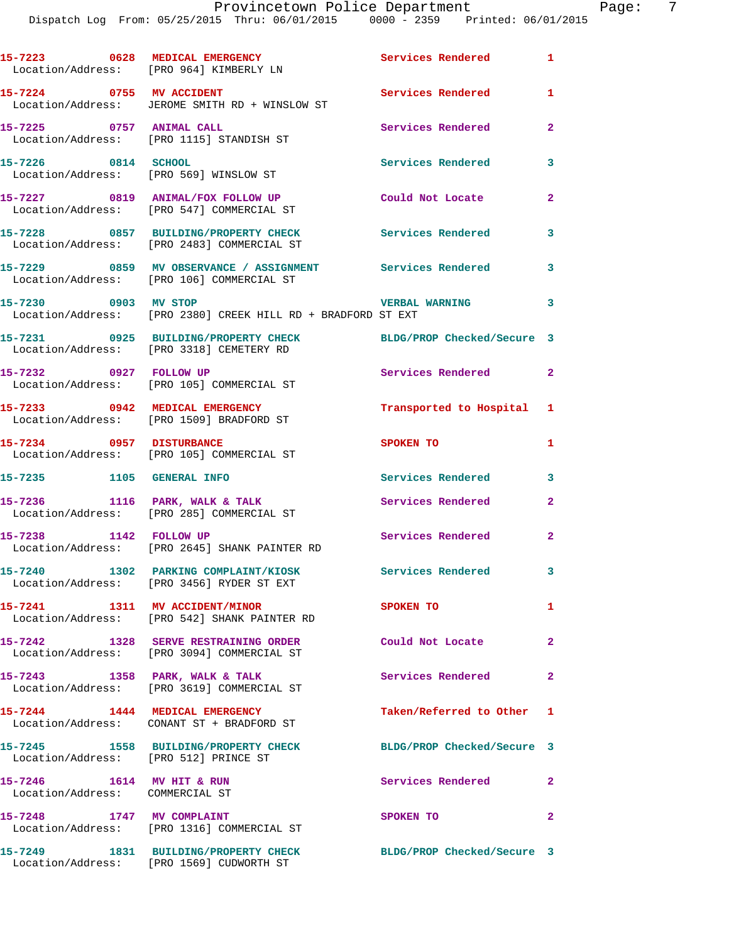|                                                              | 15-7223 0628 MEDICAL EMERGENCY<br>Location/Address: [PRO 964] KIMBERLY LN                              | Services Rendered 1        |                         |
|--------------------------------------------------------------|--------------------------------------------------------------------------------------------------------|----------------------------|-------------------------|
|                                                              | 15-7224 0755 MV ACCIDENT<br>Location/Address: JEROME SMITH RD + WINSLOW ST                             | <b>Services Rendered</b>   | 1                       |
| 15-7225 0757 ANIMAL CALL                                     | Location/Address: [PRO 1115] STANDISH ST                                                               | Services Rendered          | $\mathbf{2}$            |
| 15-7226 0814 SCHOOL                                          | Location/Address: [PRO 569] WINSLOW ST                                                                 | <b>Services Rendered</b>   | 3                       |
|                                                              | 15-7227 0819 ANIMAL/FOX FOLLOW UP<br>Location/Address: [PRO 547] COMMERCIAL ST                         | Could Not Locate           | $\mathbf{2}$            |
|                                                              | 15-7228 0857 BUILDING/PROPERTY CHECK<br>Location/Address: [PRO 2483] COMMERCIAL ST                     | <b>Services Rendered</b>   | 3                       |
|                                                              | 15-7229 0859 MV OBSERVANCE / ASSIGNMENT Services Rendered<br>Location/Address: [PRO 106] COMMERCIAL ST |                            | 3                       |
| 15-7230 0903 MV STOP                                         | Location/Address: [PRO 2380] CREEK HILL RD + BRADFORD ST EXT                                           | <b>VERBAL WARNING</b>      | $\overline{\mathbf{3}}$ |
|                                                              | 15-7231 0925 BUILDING/PROPERTY CHECK<br>Location/Address: [PRO 3318] CEMETERY RD                       | BLDG/PROP Checked/Secure 3 |                         |
| 15-7232 0927 FOLLOW UP                                       | Location/Address: [PRO 105] COMMERCIAL ST                                                              | Services Rendered 2        |                         |
|                                                              | 15-7233 0942 MEDICAL EMERGENCY<br>Location/Address: [PRO 1509] BRADFORD ST                             | Transported to Hospital 1  |                         |
| 15-7234 0957 DISTURBANCE                                     | Location/Address: [PRO 105] COMMERCIAL ST                                                              | SPOKEN TO                  | $\mathbf{1}$            |
|                                                              | 15-7235 1105 GENERAL INFO                                                                              | Services Rendered          | 3                       |
|                                                              | 15-7236 1116 PARK, WALK & TALK<br>Location/Address: [PRO 285] COMMERCIAL ST                            | <b>Services Rendered</b>   | $\mathbf{2}$            |
|                                                              | 15-7238 1142 FOLLOW UP<br>Location/Address: [PRO 2645] SHANK PAINTER RD                                | <b>Services Rendered</b>   | $\mathbf{2}$            |
|                                                              | 15-7240 1302 PARKING COMPLAINT/KIOSK<br>Location/Address: [PRO 3456] RYDER ST EXT                      | Services Rendered          | 3 <sup>7</sup>          |
|                                                              | 15-7241 1311 MV ACCIDENT/MINOR<br>Location/Address: [PRO 542] SHANK PAINTER RD                         | <b>SPOKEN TO</b>           | $\mathbf{1}$            |
|                                                              | 15-7242 1328 SERVE RESTRAINING ORDER<br>Location/Address: [PRO 3094] COMMERCIAL ST                     | Could Not Locate           | $\mathbf{2}$            |
|                                                              | $15 - 7243$ 1358 PARK, WALK & TALK<br>Location/Address: [PRO 3619] COMMERCIAL ST                       | Services Rendered 2        |                         |
|                                                              | 15-7244 1444 MEDICAL EMERGENCY<br>Location/Address: CONANT ST + BRADFORD ST                            | Taken/Referred to Other 1  |                         |
|                                                              | 15-7245 1558 BUILDING/PROPERTY CHECK<br>Location/Address: [PRO 512] PRINCE ST                          | BLDG/PROP Checked/Secure 3 |                         |
| 15-7246 1614 MV HIT & RUN<br>Location/Address: COMMERCIAL ST |                                                                                                        | <b>Services Rendered</b>   | $\mathbf{2}$            |
|                                                              | 15-7248 1747 MV COMPLAINT<br>Location/Address: [PRO 1316] COMMERCIAL ST                                | SPOKEN TO                  | $\mathbf{2}$            |
| 15-7249                                                      | 1831 BUILDING/PROPERTY CHECK<br>Location/Address: [PRO 1569] CUDWORTH ST                               | BLDG/PROP Checked/Secure 3 |                         |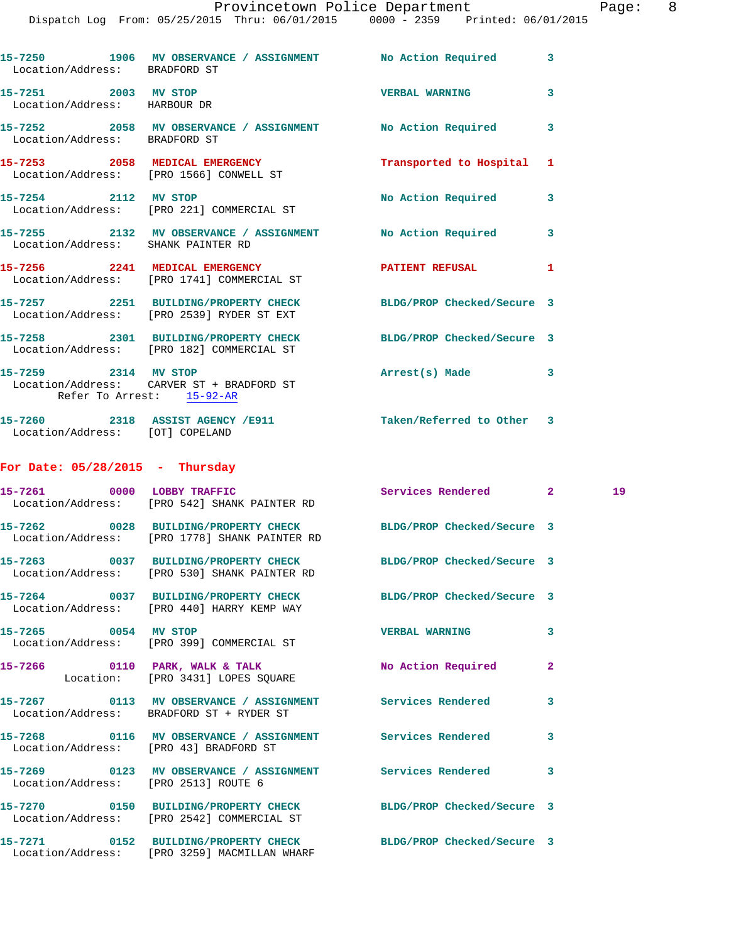## Provincetown Police Department The Page: 8

| Location/Address: BRADFORD ST                        | 15-7250 1906 MV OBSERVANCE / ASSIGNMENT No Action Required                                                       |                            | 3              |    |
|------------------------------------------------------|------------------------------------------------------------------------------------------------------------------|----------------------------|----------------|----|
| 15-7251 2003 MV STOP<br>Location/Address: HARBOUR DR |                                                                                                                  | <b>VERBAL WARNING</b>      | 3              |    |
| Location/Address: BRADFORD ST                        | 15-7252 2058 MV OBSERVANCE / ASSIGNMENT No Action Required                                                       |                            | 3              |    |
|                                                      | 15-7253 2058 MEDICAL EMERGENCY<br>Location/Address: [PRO 1566] CONWELL ST                                        | Transported to Hospital    | 1              |    |
| 15-7254 2112 MV STOP                                 | Location/Address: [PRO 221] COMMERCIAL ST                                                                        | No Action Required         | 3              |    |
| Location/Address: SHANK PAINTER RD                   | 15-7255 2132 MV OBSERVANCE / ASSIGNMENT No Action Required                                                       |                            | 3              |    |
|                                                      | 15-7256 2241 MEDICAL EMERGENCY<br>Location/Address: [PRO 1741] COMMERCIAL ST                                     | PATIENT REFUSAL            | 1              |    |
|                                                      | 15-7257 2251 BUILDING/PROPERTY CHECK<br>Location/Address: [PRO 2539] RYDER ST EXT                                | BLDG/PROP Checked/Secure 3 |                |    |
|                                                      | 15-7258 2301 BUILDING/PROPERTY CHECK BLDG/PROP Checked/Secure 3<br>Location/Address: [PRO 182] COMMERCIAL ST     |                            |                |    |
| 15-7259 2314 MV STOP<br>Refer To Arrest: 15-92-AR    | Location/Address: CARVER ST + BRADFORD ST                                                                        | Arrest(s) Made             | 3              |    |
| Location/Address: [OT] COPELAND                      | 15-7260 2318 ASSIST AGENCY /E911 5 Taken/Referred to Other 3                                                     |                            |                |    |
| For Date: $05/28/2015$ - Thursday                    |                                                                                                                  |                            |                |    |
|                                                      | 15-7261 0000 LOBBY TRAFFIC<br>Location/Address: [PRO 542] SHANK PAINTER RD                                       | Services Rendered 2        |                | 19 |
|                                                      | 15-7262 0028 BUILDING/PROPERTY CHECK BLDG/PROP Checked/Secure 3<br>Location/Address: [PRO 1778] SHANK PAINTER RD |                            |                |    |
|                                                      | 15-7263 0037 BUILDING/PROPERTY CHECK BLDG/PROP Checked/Secure 3<br>Location/Address: [PRO 530] SHANK PAINTER RD  |                            |                |    |
|                                                      | 15-7264 0037 BUILDING/PROPERTY CHECK BLDG/PROP Checked/Secure 3<br>Location/Address: [PRO 440] HARRY KEMP WAY    |                            |                |    |
| 15-7265 0054 MV STOP                                 | Location/Address: [PRO 399] COMMERCIAL ST                                                                        | <b>VERBAL WARNING</b>      | 3              |    |
|                                                      | 15-7266 0110 PARK, WALK & TALK<br>Location: [PRO 3431] LOPES SQUARE                                              | No Action Required         | $\overline{a}$ |    |
|                                                      | 15-7267   0113 MV OBSERVANCE / ASSIGNMENT   Services Rendered<br>Location/Address: BRADFORD ST + RYDER ST        |                            | 3              |    |
| Location/Address: [PRO 43] BRADFORD ST               | 15-7268 0116 MV OBSERVANCE / ASSIGNMENT Services Rendered                                                        |                            | 3              |    |
| Location/Address: [PRO 2513] ROUTE 6                 | 15-7269 		 0123 MV OBSERVANCE / ASSIGNMENT Services Rendered                                                     |                            | 3              |    |
|                                                      | 15-7270 0150 BUILDING/PROPERTY CHECK BLDG/PROP Checked/Secure 3<br>Location/Address: [PRO 2542] COMMERCIAL ST    |                            |                |    |
|                                                      | 15-7271 0152 BUILDING/PROPERTY CHECK<br>Location/Address: [PRO 3259] MACMILLAN WHARF                             | BLDG/PROP Checked/Secure 3 |                |    |
|                                                      |                                                                                                                  |                            |                |    |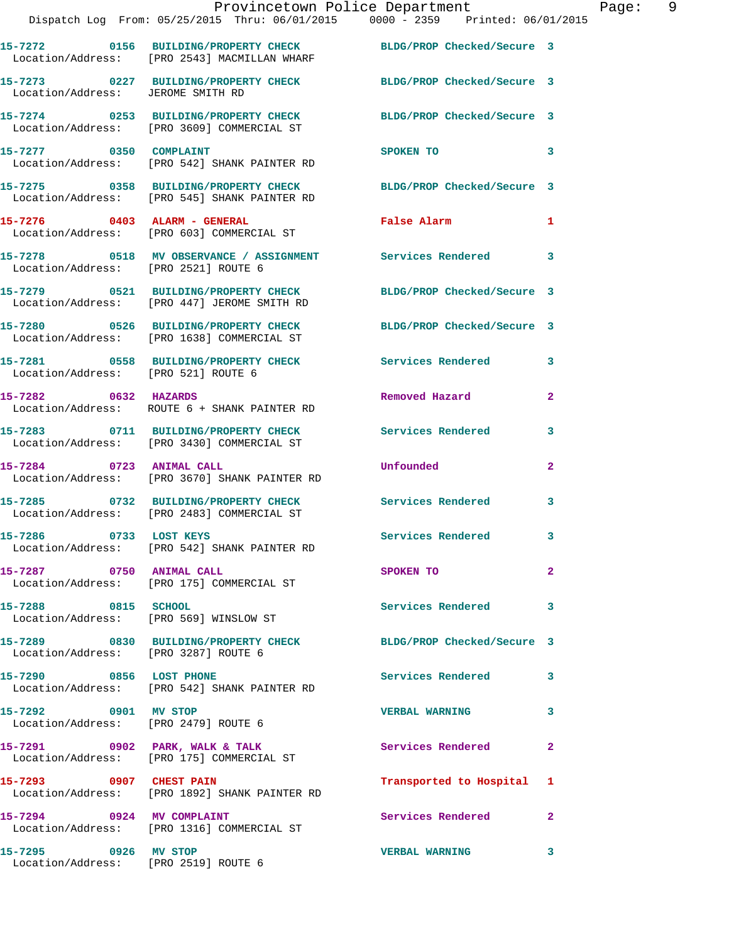|                                                              | Provincetown Police Department Page: 9<br>Dispatch Log From: 05/25/2015 Thru: 06/01/2015 0000 - 2359 Printed: 06/01/2015 |                           |              |  |
|--------------------------------------------------------------|--------------------------------------------------------------------------------------------------------------------------|---------------------------|--------------|--|
|                                                              | 15-7272 0156 BUILDING/PROPERTY CHECK BLDG/PROP Checked/Secure 3<br>Location/Address: [PRO 2543] MACMILLAN WHARF          |                           |              |  |
| Location/Address: JEROME SMITH RD                            | 15-7273 0227 BUILDING/PROPERTY CHECK BLDG/PROP Checked/Secure 3                                                          |                           |              |  |
|                                                              | 15-7274 0253 BUILDING/PROPERTY CHECK BLDG/PROP Checked/Secure 3<br>Location/Address: [PRO 3609] COMMERCIAL ST            |                           |              |  |
| 15-7277 0350 COMPLAINT                                       | Location/Address: [PRO 542] SHANK PAINTER RD                                                                             | SPOKEN TO                 | 3            |  |
|                                                              | 15-7275  0358  BUILDING/PROPERTY CHECK  BLDG/PROP Checked/Secure 3<br>Location/Address: [PRO 545] SHANK PAINTER RD       |                           |              |  |
|                                                              | $15-7276$ 0403 ALARM - GENERAL<br>Location/Address: [PRO 603] COMMERCIAL ST                                              | False Alarm               | 1            |  |
|                                                              |                                                                                                                          |                           | 3            |  |
|                                                              | 15-7279 0521 BUILDING/PROPERTY CHECK BLDG/PROP Checked/Secure 3<br>Location/Address: [PRO 447] JEROME SMITH RD           |                           |              |  |
|                                                              | 15-7280 0526 BUILDING/PROPERTY CHECK BLDG/PROP Checked/Secure 3<br>Location/Address: [PRO 1638] COMMERCIAL ST            |                           |              |  |
| Location/Address: [PRO 521] ROUTE 6                          | 15-7281 0558 BUILDING/PROPERTY CHECK Services Rendered                                                                   |                           | $\mathbf{3}$ |  |
| 15-7282 0632 HAZARDS                                         | Location/Address: ROUTE 6 + SHANK PAINTER RD                                                                             | Removed Hazard            | $\mathbf{2}$ |  |
|                                                              | 15-7283 0711 BUILDING/PROPERTY CHECK Services Rendered<br>Location/Address: [PRO 3430] COMMERCIAL ST                     |                           | 3            |  |
| 15-7284 0723 ANIMAL CALL                                     | Location/Address: [PRO 3670] SHANK PAINTER RD                                                                            | <b>Unfounded</b>          | $\mathbf{2}$ |  |
|                                                              | 15-7285 0732 BUILDING/PROPERTY CHECK Services Rendered<br>Location/Address: [PRO 2483] COMMERCIAL ST                     |                           | 3            |  |
| 15-7286 0733 LOST KEYS                                       | Location/Address: [PRO 542] SHANK PAINTER RD                                                                             | Services Rendered 3       |              |  |
| 15-7287 0750 ANIMAL CALL                                     | Location/Address: [PRO 175] COMMERCIAL ST                                                                                | SPOKEN TO                 | $\mathbf{2}$ |  |
| 15-7288 0815 SCHOOL                                          | Location/Address: [PRO 569] WINSLOW ST                                                                                   | Services Rendered         | 3            |  |
| Location/Address: [PRO 3287] ROUTE 6                         | 15-7289 0830 BUILDING/PROPERTY CHECK BLDG/PROP Checked/Secure 3                                                          |                           |              |  |
| 15-7290 0856 LOST PHONE                                      | Location/Address: [PRO 542] SHANK PAINTER RD                                                                             | Services Rendered 3       |              |  |
| 15-7292 0901 MV STOP<br>Location/Address: [PRO 2479] ROUTE 6 |                                                                                                                          | <b>VERBAL WARNING</b>     | 3            |  |
|                                                              | 15-7291 0902 PARK, WALK & TALK<br>Location/Address: [PRO 175] COMMERCIAL ST                                              | Services Rendered         | $\mathbf{2}$ |  |
|                                                              | 15-7293 0907 CHEST PAIN<br>Location/Address: [PRO 1892] SHANK PAINTER RD                                                 | Transported to Hospital 1 |              |  |
| 15-7294 0924 MV COMPLAINT                                    | Location/Address: [PRO 1316] COMMERCIAL ST                                                                               | Services Rendered         | $\mathbf{2}$ |  |
| 15-7295 0926 MV STOP                                         |                                                                                                                          | <b>VERBAL WARNING</b>     | 3            |  |

Location/Address: [PRO 2519] ROUTE 6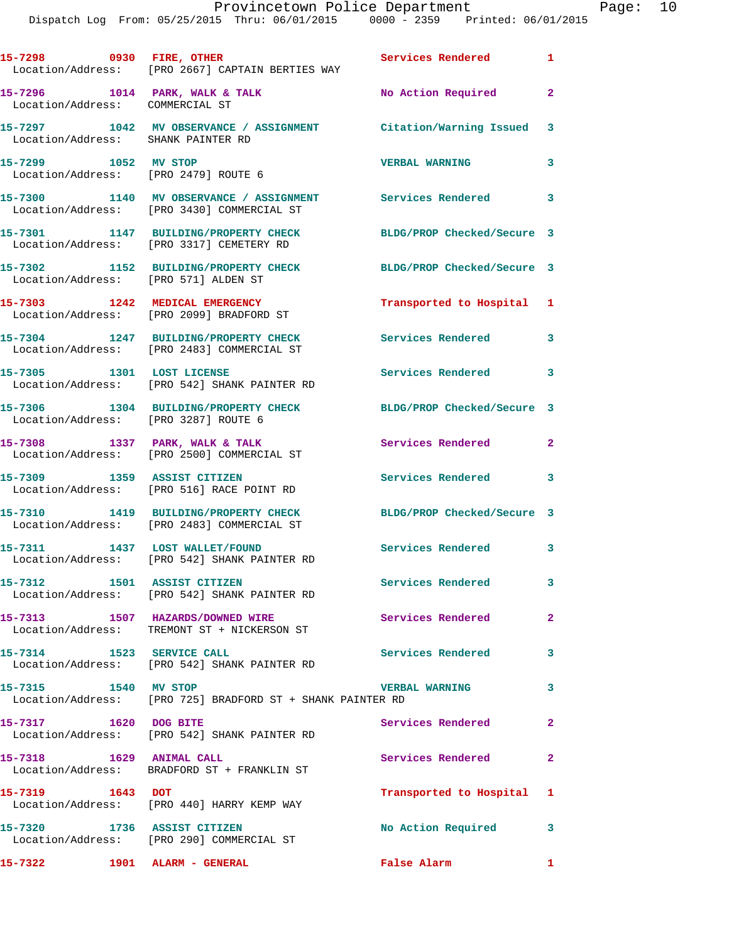| 15-7298 0930 FIRE, OTHER             | Location/Address: [PRO 2667] CAPTAIN BERTIES WAY                                      | Services Rendered 1        |                            |
|--------------------------------------|---------------------------------------------------------------------------------------|----------------------------|----------------------------|
| Location/Address: COMMERCIAL ST      | 15-7296 1014 PARK, WALK & TALK                                                        | No Action Required         | $\overline{\mathbf{2}}$    |
| Location/Address: SHANK PAINTER RD   | 15-7297 1042 MV OBSERVANCE / ASSIGNMENT Citation/Warning Issued 3                     |                            |                            |
| 15-7299 1052 MV STOP                 | Location/Address: [PRO 2479] ROUTE 6                                                  | <b>VERBAL WARNING</b>      | 3                          |
|                                      | 15-7300 1140 MV OBSERVANCE / ASSIGNMENT<br>Location/Address: [PRO 3430] COMMERCIAL ST | Services Rendered 3        |                            |
|                                      | 15-7301 1147 BUILDING/PROPERTY CHECK<br>Location/Address: [PRO 3317] CEMETERY RD      | BLDG/PROP Checked/Secure 3 |                            |
| Location/Address: [PRO 571] ALDEN ST | 15-7302 1152 BUILDING/PROPERTY CHECK                                                  | BLDG/PROP Checked/Secure 3 |                            |
|                                      | 15-7303 1242 MEDICAL EMERGENCY<br>Location/Address: [PRO 2099] BRADFORD ST            | Transported to Hospital 1  |                            |
|                                      | 15-7304 1247 BUILDING/PROPERTY CHECK<br>Location/Address: [PRO 2483] COMMERCIAL ST    | <b>Services Rendered</b>   | $\overline{\phantom{a}}$ 3 |
|                                      | 15-7305 1301 LOST LICENSE<br>Location/Address: [PRO 542] SHANK PAINTER RD             | Services Rendered 3        |                            |
| Location/Address: [PRO 3287] ROUTE 6 | 15-7306 1304 BUILDING/PROPERTY CHECK                                                  | BLDG/PROP Checked/Secure 3 |                            |
|                                      | 15-7308 1337 PARK, WALK & TALK<br>Location/Address: [PRO 2500] COMMERCIAL ST          | Services Rendered 2        |                            |
|                                      | 15-7309 1359 ASSIST CITIZEN<br>Location/Address: [PRO 516] RACE POINT RD              | Services Rendered          | 3                          |
|                                      | 15-7310 1419 BUILDING/PROPERTY CHECK<br>Location/Address: [PRO 2483] COMMERCIAL ST    | BLDG/PROP Checked/Secure 3 |                            |
|                                      | 15-7311 1437 LOST WALLET/FOUND<br>Location/Address: [PRO 542] SHANK PAINTER RD        | Services Rendered 3        |                            |
| 15-7312 1501 ASSIST CITIZEN          | Location/Address: [PRO 542] SHANK PAINTER RD                                          | Services Rendered          | $\mathbf{3}$               |
|                                      | 15-7313 1507 HAZARDS/DOWNED WIRE<br>Location/Address: TREMONT ST + NICKERSON ST       | Services Rendered          | $\mathbf{2}$               |
| 15-7314 1523 SERVICE CALL            | Location/Address: [PRO 542] SHANK PAINTER RD                                          | Services Rendered          | 3                          |
| 15-7315 1540 MV STOP                 | Location/Address: [PRO 725] BRADFORD ST + SHANK PAINTER RD                            | <b>VERBAL WARNING</b>      | 3                          |
| 15-7317 1620 DOG BITE                | Location/Address: [PRO 542] SHANK PAINTER RD                                          | Services Rendered          | $\mathbf{2}$               |
|                                      | Location/Address: BRADFORD ST + FRANKLIN ST                                           | Services Rendered          | $\mathbf{2}$               |
| 15-7319 1643 DOT                     | Location/Address: [PRO 440] HARRY KEMP WAY                                            | Transported to Hospital 1  |                            |
| 15-7320 1736 ASSIST CITIZEN          | Location/Address: [PRO 290] COMMERCIAL ST                                             | No Action Required         | 3                          |
| 15-7322 1901 ALARM - GENERAL         |                                                                                       | False Alarm 1              |                            |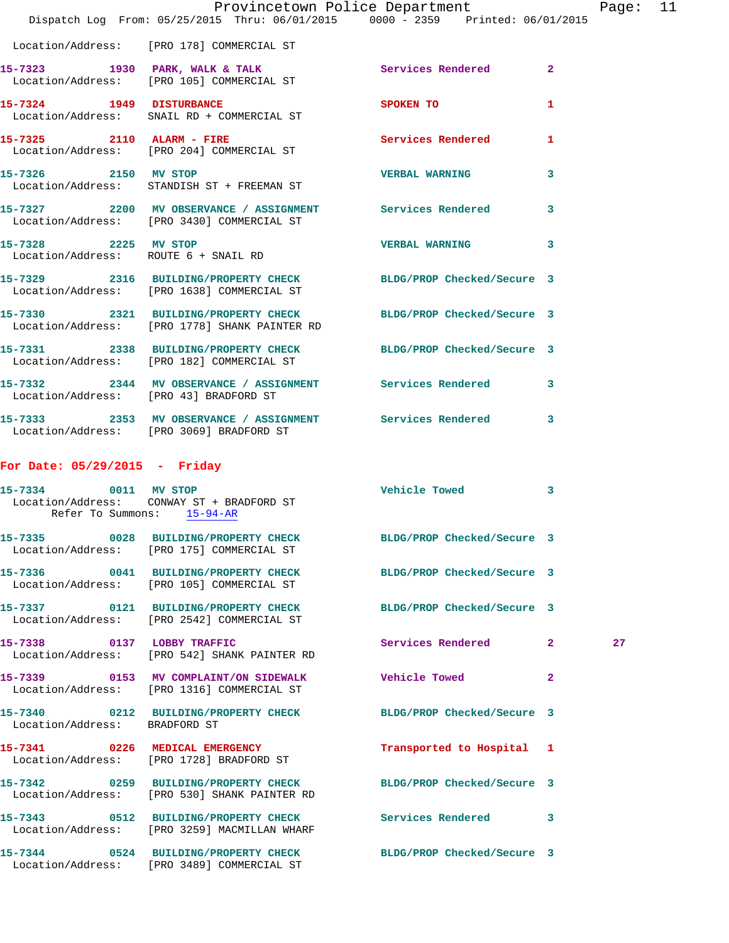|                                 | Provincetown Police Department<br>Dispatch Log From: 05/25/2015 Thru: 06/01/2015 0000 - 2359 Printed: 06/01/2015 |                            |              | Page: 11 |  |
|---------------------------------|------------------------------------------------------------------------------------------------------------------|----------------------------|--------------|----------|--|
|                                 | Location/Address: [PRO 178] COMMERCIAL ST                                                                        |                            |              |          |  |
|                                 | 15-7323 1930 PARK, WALK & TALK 1988 Services Rendered<br>Location/Address: [PRO 105] COMMERCIAL ST               |                            | $\mathbf{2}$ |          |  |
|                                 | 15-7324 1949 DISTURBANCE<br>Location/Address: SNAIL RD + COMMERCIAL ST                                           | SPOKEN TO                  | $\mathbf{1}$ |          |  |
|                                 | 15-7325 2110 ALARM - FIRE<br>Location/Address: [PRO 204] COMMERCIAL ST                                           | <b>Services Rendered</b>   | $\mathbf{1}$ |          |  |
| 15-7326 2150 MV STOP            | Location/Address: STANDISH ST + FREEMAN ST                                                                       | <b>VERBAL WARNING</b>      | 3            |          |  |
|                                 | 15-7327 2200 MV OBSERVANCE / ASSIGNMENT Services Rendered<br>Location/Address: [PRO 3430] COMMERCIAL ST          |                            | 3            |          |  |
| 15-7328 2225 MV STOP            | Location/Address: ROUTE 6 + SNAIL RD                                                                             | VERBAL WARNING 3           |              |          |  |
|                                 | 15-7329 2316 BUILDING/PROPERTY CHECK BLDG/PROP Checked/Secure 3<br>Location/Address: [PRO 1638] COMMERCIAL ST    |                            |              |          |  |
|                                 | 15-7330 2321 BUILDING/PROPERTY CHECK BLDG/PROP Checked/Secure 3<br>Location/Address: [PRO 1778] SHANK PAINTER RD |                            |              |          |  |
|                                 | 15-7331 2338 BUILDING/PROPERTY CHECK BLDG/PROP Checked/Secure 3<br>Location/Address: [PRO 182] COMMERCIAL ST     |                            |              |          |  |
|                                 | 15-7332 2344 MV OBSERVANCE / ASSIGNMENT Services Rendered<br>Location/Address: [PRO 43] BRADFORD ST              |                            | 3            |          |  |
|                                 | 15-7333 2353 MV OBSERVANCE / ASSIGNMENT Services Rendered 3<br>Location/Address: [PRO 3069] BRADFORD ST          |                            |              |          |  |
| For Date: $05/29/2015$ - Friday |                                                                                                                  |                            |              |          |  |
|                                 | 15-7334 0011 MV STOP<br>Location/Address: CONWAY ST + BRADFORD ST<br>Refer To Summons: 15-94-AR                  | Vehicle Towed              | $\mathbf{3}$ |          |  |
|                                 | 15-7335 0028 BUILDING/PROPERTY CHECK<br>Location/Address: [PRO 175] COMMERCIAL ST                                | BLDG/PROP Checked/Secure 3 |              |          |  |
|                                 | 15-7336 0041 BUILDING/PROPERTY CHECK BLDG/PROP Checked/Secure 3<br>Location/Address: [PRO 105] COMMERCIAL ST     |                            |              |          |  |
|                                 | 15-7337 0121 BUILDING/PROPERTY CHECK<br>Location/Address: [PRO 2542] COMMERCIAL ST                               | BLDG/PROP Checked/Secure 3 |              |          |  |
|                                 | 15-7338 0137 LOBBY TRAFFIC<br>Location/Address: [PRO 542] SHANK PAINTER RD                                       | Services Rendered 2        |              | 27       |  |
|                                 | 15-7339 0153 MV COMPLAINT/ON SIDEWALK Vehicle Towed<br>Location/Address: [PRO 1316] COMMERCIAL ST                |                            | $\mathbf{2}$ |          |  |
| Location/Address: BRADFORD ST   | 15-7340 0212 BUILDING/PROPERTY CHECK BLDG/PROP Checked/Secure 3                                                  |                            |              |          |  |
|                                 | 15-7341 0226 MEDICAL EMERGENCY<br>Location/Address: [PRO 1728] BRADFORD ST                                       | Transported to Hospital 1  |              |          |  |
|                                 | 15-7342 0259 BUILDING/PROPERTY CHECK BLDG/PROP Checked/Secure 3<br>Location/Address: [PRO 530] SHANK PAINTER RD  |                            |              |          |  |
|                                 | 15-7343 0512 BUILDING/PROPERTY CHECK Services Rendered<br>Location/Address: [PRO 3259] MACMILLAN WHARF           |                            | 3            |          |  |
|                                 | 15-7344 0524 BUILDING/PROPERTY CHECK BLDG/PROP Checked/Secure 3<br>Location/Address: [PRO 3489] COMMERCIAL ST    |                            |              |          |  |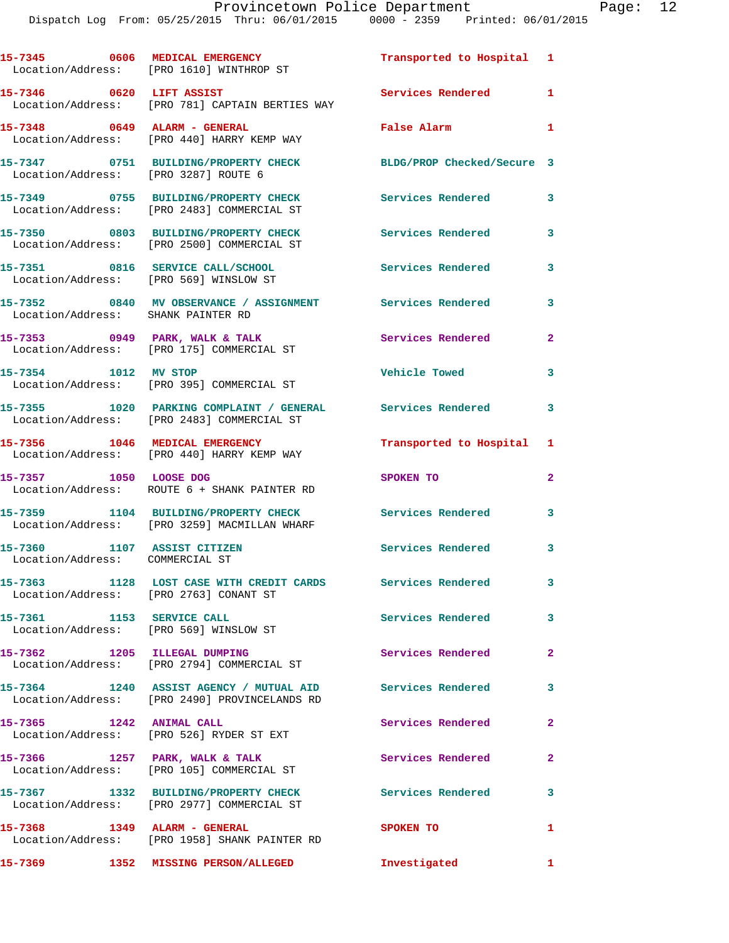|                                                                | 15-7345 0606 MEDICAL EMERGENCY<br>Location/Address: [PRO 1610] WINTHROP ST                                 | Transported to Hospital 1  |                |
|----------------------------------------------------------------|------------------------------------------------------------------------------------------------------------|----------------------------|----------------|
| 15-7346 0620 LIFT ASSIST                                       | Location/Address: [PRO 781] CAPTAIN BERTIES WAY                                                            | Services Rendered 1        |                |
| 15-7348 0649 ALARM - GENERAL                                   | Location/Address: [PRO 440] HARRY KEMP WAY                                                                 | False Alarm                | $\mathbf{1}$   |
| Location/Address: [PRO 3287] ROUTE 6                           | 15-7347 0751 BUILDING/PROPERTY CHECK                                                                       | BLDG/PROP Checked/Secure 3 |                |
|                                                                | 15-7349 0755 BUILDING/PROPERTY CHECK<br>Location/Address: [PRO 2483] COMMERCIAL ST                         | <b>Services Rendered</b>   | 3              |
|                                                                | 15-7350 0803 BUILDING/PROPERTY CHECK<br>Location/Address: [PRO 2500] COMMERCIAL ST                         | Services Rendered          | $\mathbf{3}$   |
| Location/Address: [PRO 569] WINSLOW ST                         | 15-7351 0816 SERVICE CALL/SCHOOL                                                                           | <b>Services Rendered</b>   | 3              |
| Location/Address: SHANK PAINTER RD                             | 15-7352 0840 MV OBSERVANCE / ASSIGNMENT Services Rendered                                                  |                            | 3              |
|                                                                | 15-7353 0949 PARK, WALK & TALK<br>Location/Address: [PRO 175] COMMERCIAL ST                                | <b>Services Rendered</b>   | $\mathbf{2}$   |
| 15-7354 1012 MV STOP                                           | Location/Address: [PRO 395] COMMERCIAL ST                                                                  | Vehicle Towed              | 3              |
|                                                                | 15-7355 1020 PARKING COMPLAINT / GENERAL Services Rendered<br>Location/Address: [PRO 2483] COMMERCIAL ST   |                            | 3              |
| 15-7356 1046 MEDICAL EMERGENCY                                 | Location/Address: [PRO 440] HARRY KEMP WAY                                                                 | Transported to Hospital 1  |                |
| 15-7357 1050 LOOSE DOG                                         | Location/Address: ROUTE 6 + SHANK PAINTER RD                                                               | SPOKEN TO                  | $\overline{2}$ |
|                                                                | 15-7359 1104 BUILDING/PROPERTY CHECK<br>Location/Address: [PRO 3259] MACMILLAN WHARF                       | <b>Services Rendered</b>   | $\mathbf{3}$   |
| 15-7360 1107 ASSIST CITIZEN<br>Location/Address: COMMERCIAL ST |                                                                                                            | Services Rendered 3        |                |
| Location/Address: [PRO 2763] CONANT ST                         | 15-7363 1128 LOST CASE WITH CREDIT CARDS Services Rendered                                                 |                            | 3              |
| 15-7361 1153 SERVICE CALL                                      | Location/Address: [PRO 569] WINSLOW ST                                                                     | Services Rendered          | 3              |
| 15-7362 1205 ILLEGAL DUMPING                                   | Location/Address: [PRO 2794] COMMERCIAL ST                                                                 | Services Rendered          | $\overline{2}$ |
|                                                                | 15-7364 1240 ASSIST AGENCY / MUTUAL AID Services Rendered<br>Location/Address: [PRO 2490] PROVINCELANDS RD |                            | 3              |
| 15-7365 1242 ANIMAL CALL                                       | Location/Address: [PRO 526] RYDER ST EXT                                                                   | Services Rendered          | $\mathbf{2}$   |
|                                                                | 15-7366 1257 PARK, WALK & TALK<br>Location/Address: [PRO 105] COMMERCIAL ST                                | Services Rendered          | $\overline{2}$ |
|                                                                | 15-7367 1332 BUILDING/PROPERTY CHECK                                                                       | <b>Services Rendered</b>   | 3              |
| 15-7368 1349 ALARM - GENERAL                                   | Location/Address: [PRO 2977] COMMERCIAL ST                                                                 | SPOKEN TO                  | 1              |
|                                                                | Location/Address: [PRO 1958] SHANK PAINTER RD<br>15-7369 1352 MISSING PERSON/ALLEGED                       | Investigated               | $\mathbf{1}$   |
|                                                                |                                                                                                            |                            |                |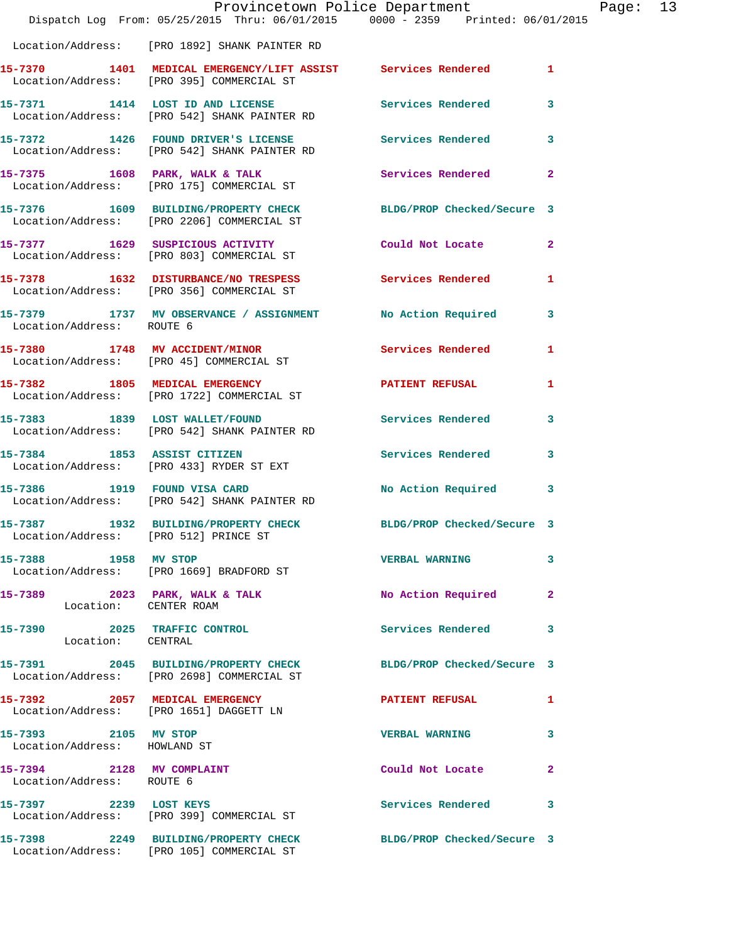|                                                        | Provincetown Police Department<br>Dispatch Log From: 05/25/2015 Thru: 06/01/2015 0000 - 2359 Printed: 06/01/2015 |                            |              |
|--------------------------------------------------------|------------------------------------------------------------------------------------------------------------------|----------------------------|--------------|
|                                                        | Location/Address: [PRO 1892] SHANK PAINTER RD                                                                    |                            |              |
|                                                        | 15-7370 1401 MEDICAL EMERGENCY/LIFT ASSIST Services Rendered<br>Location/Address: [PRO 395] COMMERCIAL ST        |                            | 1            |
|                                                        | 15-7371 1414 LOST ID AND LICENSE Services Rendered<br>Location/Address: [PRO 542] SHANK PAINTER RD               |                            | 3            |
|                                                        | 15-7372 1426 FOUND DRIVER'S LICENSE Services Rendered<br>Location/Address: [PRO 542] SHANK PAINTER RD            |                            | 3            |
|                                                        | 15-7375 1608 PARK, WALK & TALK<br>Location/Address: [PRO 175] COMMERCIAL ST                                      | Services Rendered          | $\mathbf{2}$ |
|                                                        | 15-7376 1609 BUILDING/PROPERTY CHECK<br>Location/Address: [PRO 2206] COMMERCIAL ST                               | BLDG/PROP Checked/Secure 3 |              |
|                                                        | 15-7377 1629 SUSPICIOUS ACTIVITY<br>Location/Address: [PRO 803] COMMERCIAL ST                                    | Could Not Locate           | $\mathbf{2}$ |
|                                                        | 15-7378 1632 DISTURBANCE/NO TRESPESS<br>Location/Address: [PRO 356] COMMERCIAL ST                                | Services Rendered          | 1            |
| Location/Address: ROUTE 6                              | 15-7379 1737 MV OBSERVANCE / ASSIGNMENT No Action Required                                                       |                            | 3            |
|                                                        | 15-7380 1748 MV ACCIDENT/MINOR<br>Location/Address: [PRO 45] COMMERCIAL ST                                       | Services Rendered          | 1            |
|                                                        | 15-7382 1805 MEDICAL EMERGENCY<br>Location/Address: [PRO 1722] COMMERCIAL ST                                     | <b>PATIENT REFUSAL</b>     | 1            |
|                                                        | 15-7383 1839 LOST WALLET/FOUND<br>Location/Address: [PRO 542] SHANK PAINTER RD                                   | Services Rendered          | 3            |
|                                                        | 15-7384 1853 ASSIST CITIZEN<br>Location/Address: [PRO 433] RYDER ST EXT                                          | Services Rendered          | 3            |
|                                                        | 15-7386 1919 FOUND VISA CARD<br>Location/Address: [PRO 542] SHANK PAINTER RD                                     | No Action Required 3       |              |
| Location/Address: [PRO 512] PRINCE ST                  | 15-7387 1932 BUILDING/PROPERTY CHECK                                                                             | BLDG/PROP Checked/Secure 3 |              |
|                                                        | 15-7388 1958 MV STOP<br>  Location/Address: [PRO 1669] BRADFORD ST                                               | <b>VERBAL WARNING</b>      | 3            |
| Location: CENTER ROAM                                  | 15-7389 2023 PARK, WALK & TALK                                                                                   | No Action Required         | $\mathbf{2}$ |
| 15-7390 2025 TRAFFIC CONTROL<br>Location: CENTRAL      |                                                                                                                  | <b>Services Rendered</b>   | 3            |
|                                                        | 15-7391 2045 BUILDING/PROPERTY CHECK BLDG/PROP Checked/Secure 3<br>Location/Address: [PRO 2698] COMMERCIAL ST    |                            |              |
|                                                        | 15-7392 2057 MEDICAL EMERGENCY<br>Location/Address: [PRO 1651] DAGGETT LN                                        | <b>PATIENT REFUSAL</b>     | 1            |
| 15-7393 2105 MV STOP<br>Location/Address: HOWLAND ST   |                                                                                                                  | <b>VERBAL WARNING</b>      | 3            |
| 15-7394 2128 MV COMPLAINT<br>Location/Address: ROUTE 6 |                                                                                                                  | Could Not Locate           | 2            |
|                                                        | 15-7397 2239 LOST KEYS<br>Location/Address: [PRO 399] COMMERCIAL ST                                              | Services Rendered          | 3            |
|                                                        | 15-7398 2249 BUILDING/PROPERTY CHECK BLDG/PROP Checked/Secure 3<br>Location/Address: [PRO 105] COMMERCIAL ST     |                            |              |

Page: 13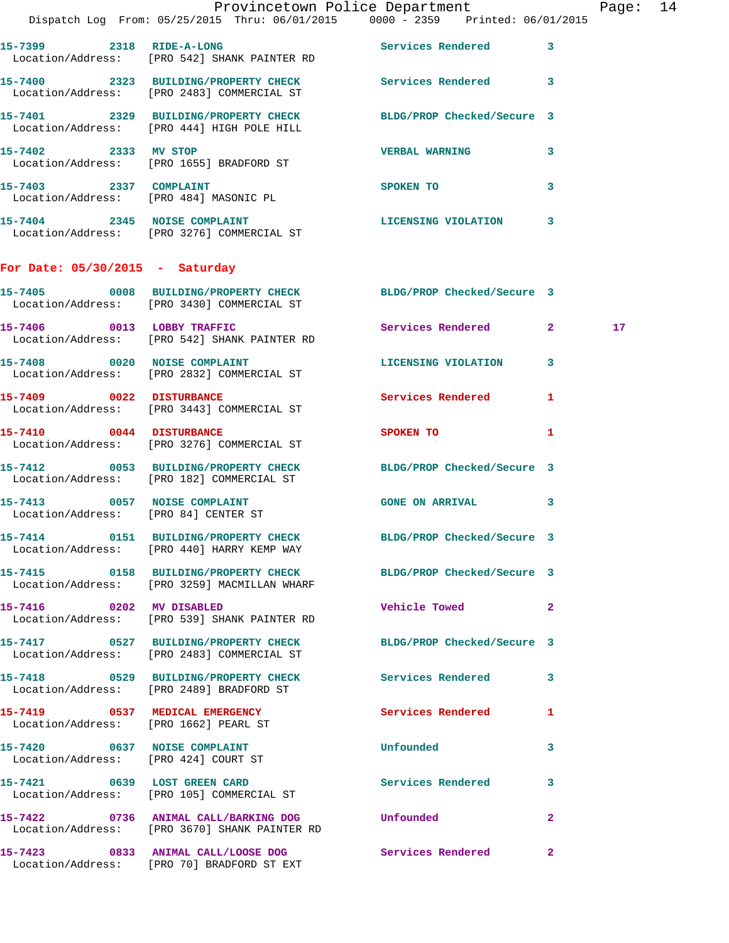|                                                                      | Provincetown Police Department<br>Dispatch Log From: 05/25/2015 Thru: 06/01/2015 0000 - 2359 Printed: 06/01/2015 |                                |              | Page: 14        |  |
|----------------------------------------------------------------------|------------------------------------------------------------------------------------------------------------------|--------------------------------|--------------|-----------------|--|
|                                                                      | 15-7399 2318 RIDE-A-LONG Services Rendered 3<br>Location/Address: [PRO 542] SHANK PAINTER RD                     |                                |              |                 |  |
|                                                                      | 15-7400 2323 BUILDING/PROPERTY CHECK Services Rendered 3<br>Location/Address: [PRO 2483] COMMERCIAL ST           |                                |              |                 |  |
|                                                                      | 15-7401 2329 BUILDING/PROPERTY CHECK BLDG/PROP Checked/Secure 3<br>Location/Address: [PRO 444] HIGH POLE HILL    |                                |              |                 |  |
| 15-7402 2333 MV STOP                                                 | Location/Address: [PRO 1655] BRADFORD ST                                                                         | VERBAL WARNING 3               |              |                 |  |
|                                                                      | 15-7403 2337 COMPLAINT<br>Location/Address: [PRO 484] MASONIC PL                                                 | SPOKEN TO THE STRIKE SPOKEN TO | 3            |                 |  |
|                                                                      | 15-7404 2345 NOISE COMPLAINT<br>Location/Address: [PRO 3276] COMMERCIAL ST                                       | LICENSING VIOLATION 3          |              |                 |  |
| For Date: $05/30/2015$ - Saturday                                    |                                                                                                                  |                                |              |                 |  |
|                                                                      | 15-7405 0008 BUILDING/PROPERTY CHECK BLDG/PROP Checked/Secure 3<br>Location/Address: [PRO 3430] COMMERCIAL ST    |                                |              |                 |  |
|                                                                      | 15-7406 0013 LOBBY TRAFFIC<br>Location/Address: [PRO 542] SHANK PAINTER RD                                       | Services Rendered 2            |              | 17 <sub>1</sub> |  |
|                                                                      | 15-7408 0020 NOISE COMPLAINT<br>Location/Address: [PRO 2832] COMMERCIAL ST                                       | LICENSING VIOLATION 3          |              |                 |  |
|                                                                      | 15-7409 0022 DISTURBANCE<br>Location/Address: [PRO 3443] COMMERCIAL ST                                           | Services Rendered 1            |              |                 |  |
|                                                                      | 15-7410 0044 DISTURBANCE<br>Location/Address: [PRO 3276] COMMERCIAL ST                                           | <b>SPOKEN TO</b>               | 1            |                 |  |
|                                                                      | 15-7412 0053 BUILDING/PROPERTY CHECK BLDG/PROP Checked/Secure 3<br>Location/Address: [PRO 182] COMMERCIAL ST     |                                |              |                 |  |
|                                                                      | 15-7413 0057 NOISE COMPLAINT<br>Location/Address: [PRO 84] CENTER ST                                             | <b>GONE ON ARRIVAL</b>         | $\mathbf{3}$ |                 |  |
|                                                                      | 15-7414 0151 BUILDING/PROPERTY CHECK<br>Location/Address: [PRO 440] HARRY KEMP WAY                               | BLDG/PROP Checked/Secure 3     |              |                 |  |
|                                                                      | 15-7415 0158 BUILDING/PROPERTY CHECK BLDG/PROP Checked/Secure 3<br>Location/Address: [PRO 3259] MACMILLAN WHARF  |                                |              |                 |  |
|                                                                      | 15-7416 0202 MV DISABLED<br>Location/Address: [PRO 539] SHANK PAINTER RD                                         | Vehicle Towed <b>Seat 1996</b> | $\mathbf{2}$ |                 |  |
|                                                                      | 15-7417 0527 BUILDING/PROPERTY CHECK BLDG/PROP Checked/Secure 3<br>Location/Address: [PRO 2483] COMMERCIAL ST    |                                |              |                 |  |
|                                                                      |                                                                                                                  |                                |              |                 |  |
| Location/Address: [PRO 1662] PEARL ST                                | 15-7419 0537 MEDICAL EMERGENCY                                                                                   | Services Rendered              | $\mathbf{1}$ |                 |  |
| 15-7420 0637 NOISE COMPLAINT<br>Location/Address: [PRO 424] COURT ST |                                                                                                                  | Unfounded                      | 3            |                 |  |
|                                                                      | 15-7421 0639 LOST GREEN CARD<br>Location/Address: [PRO 105] COMMERCIAL ST                                        | Services Rendered              | 3            |                 |  |
|                                                                      | 15-7422  0736 ANIMAL CALL/BARKING DOG Unfounded<br>Location/Address: [PRO 3670] SHANK PAINTER RD                 |                                | $\mathbf{2}$ |                 |  |
|                                                                      | 15-7423 0833 ANIMAL CALL/LOOSE DOG<br>Location/Address: [PRO 70] BRADFORD ST EXT                                 | Services Rendered              | $\mathbf{2}$ |                 |  |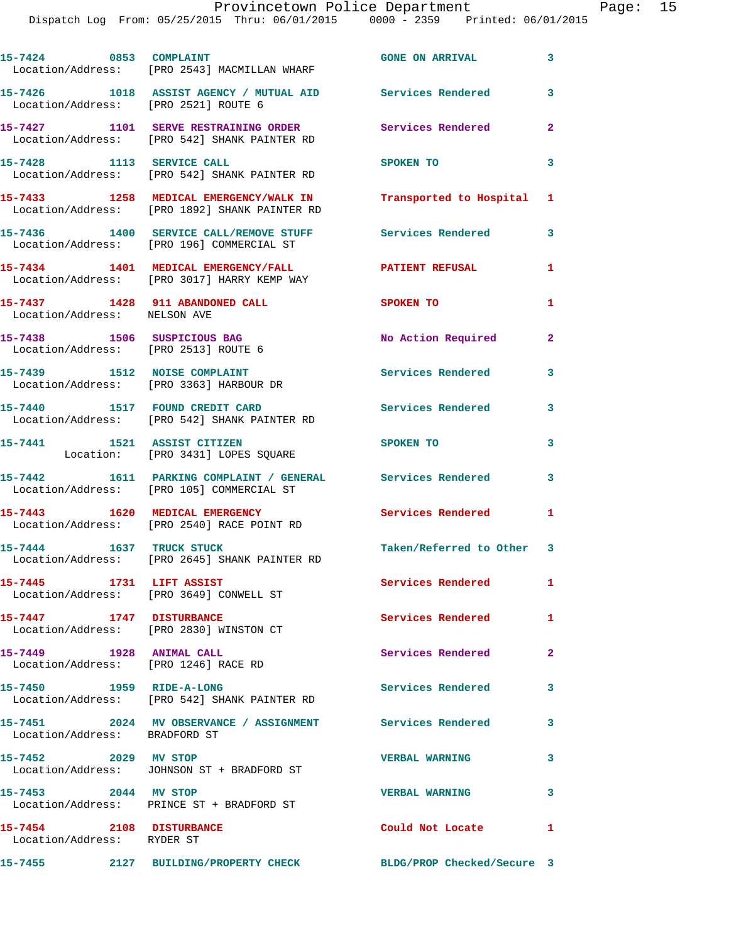| 15-7424 0853 COMPLAINT                                              | Location/Address: [PRO 2543] MACMILLAN WHARF                                                            | <b>GONE ON ARRIVAL</b>                          | $\overline{\mathbf{3}}$ |
|---------------------------------------------------------------------|---------------------------------------------------------------------------------------------------------|-------------------------------------------------|-------------------------|
| Location/Address: [PRO 2521] ROUTE 6                                | 15-7426 1018 ASSIST AGENCY / MUTUAL AID Services Rendered                                               |                                                 | 3                       |
|                                                                     | 15-7427 1101 SERVE RESTRAINING ORDER<br>Location/Address: [PRO 542] SHANK PAINTER RD                    | Services Rendered                               | $\overline{2}$          |
| 15-7428 1113 SERVICE CALL                                           | Location/Address: [PRO 542] SHANK PAINTER RD                                                            | SPOKEN TO                                       | 3                       |
|                                                                     | 15-7433 1258 MEDICAL EMERGENCY/WALK IN<br>Location/Address: [PRO 1892] SHANK PAINTER RD                 | Transported to Hospital 1                       |                         |
|                                                                     | 15-7436 1400 SERVICE CALL/REMOVE STUFF<br>Location/Address: [PRO 196] COMMERCIAL ST                     | <b>Services Rendered</b>                        | 3                       |
|                                                                     | 15-7434 1401 MEDICAL EMERGENCY/FALL<br>Location/Address: [PRO 3017] HARRY KEMP WAY                      | <b>PATIENT REFUSAL</b>                          | 1                       |
| Location/Address: NELSON AVE                                        | 15-7437 1428 911 ABANDONED CALL                                                                         | <b>SPOKEN TO</b>                                | $\mathbf{1}$            |
| 15-7438 1506 SUSPICIOUS BAG<br>Location/Address: [PRO 2513] ROUTE 6 |                                                                                                         | No Action Required                              | $\mathbf{2}$            |
|                                                                     | 15-7439 1512 NOISE COMPLAINT<br>Location/Address: [PRO 3363] HARBOUR DR                                 | <b>Services Rendered</b>                        | 3                       |
| 15-7440 1517 FOUND CREDIT CARD                                      | Location/Address: [PRO 542] SHANK PAINTER RD                                                            | <b>Services Rendered</b>                        | 3                       |
| 15-7441 1521 ASSIST CITIZEN                                         | Location: [PRO 3431] LOPES SQUARE                                                                       | SPOKEN TO                                       | 3                       |
|                                                                     | 15-7442 1611 PARKING COMPLAINT / GENERAL Services Rendered<br>Location/Address: [PRO 105] COMMERCIAL ST |                                                 | 3                       |
|                                                                     | 15-7443 1620 MEDICAL EMERGENCY<br>Location/Address: [PRO 2540] RACE POINT RD                            | Services Rendered 1                             |                         |
|                                                                     | 15-7444 1637 TRUCK STUCK<br>Location/Address: [PRO 2645] SHANK PAINTER RD                               | Taken/Referred to Other 3                       |                         |
| 15-7445 1731 LIFT ASSIST                                            | Location/Address: [PRO 3649] CONWELL ST                                                                 | Services Rendered                               | $\mathbf{1}$            |
| 15-7447 1747 DISTURBANCE                                            | Location/Address: [PRO 2830] WINSTON CT                                                                 | Services Rendered                               | $\mathbf{1}$            |
| 15-7449 1928 ANIMAL CALL<br>Location/Address: [PRO 1246] RACE RD    |                                                                                                         | Services Rendered                               | $\mathbf{2}$            |
| 15-7450 1959 RIDE-A-LONG                                            | Location/Address: [PRO 542] SHANK PAINTER RD                                                            | <b>Services Rendered</b>                        | 3                       |
| Location/Address: BRADFORD ST                                       | 15-7451 2024 MV OBSERVANCE / ASSIGNMENT Services Rendered                                               |                                                 | 3                       |
| 15-7452 2029 MV STOP                                                | Location/Address: JOHNSON ST + BRADFORD ST                                                              | <b>VERBAL WARNING</b>                           | 3                       |
| 15-7453 2044 MV STOP                                                | Location/Address: PRINCE ST + BRADFORD ST                                                               | <b>VERBAL WARNING</b>                           | 3                       |
| 15-7454 2108 DISTURBANCE<br>Location/Address: RYDER ST              |                                                                                                         | Could Not Locate Note that the Could Not Locate | $\mathbf{1}$            |
|                                                                     | 15-7455 2127 BUILDING/PROPERTY CHECK BLDG/PROP Checked/Secure 3                                         |                                                 |                         |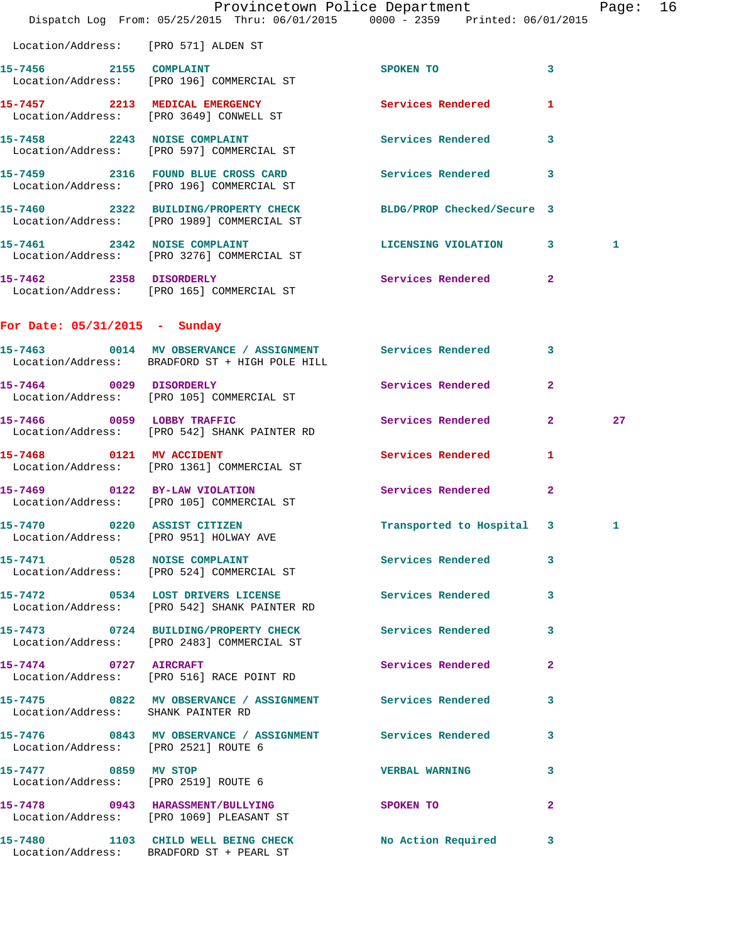|                                                   | Dispatch Log From: 05/25/2015 Thru: 06/01/2015 0000 - 2359 Printed: 06/01/2015                                | Provincetown Police Department |              | Page: 16 |  |
|---------------------------------------------------|---------------------------------------------------------------------------------------------------------------|--------------------------------|--------------|----------|--|
| Location/Address: [PRO 571] ALDEN ST              |                                                                                                               |                                |              |          |  |
| 15-7456 2155 COMPLAINT                            | Location/Address: [PRO 196] COMMERCIAL ST                                                                     | SPOKEN TO                      | $\mathbf{3}$ |          |  |
|                                                   | 15-7457 2213 MEDICAL EMERGENCY<br>Location/Address: [PRO 3649] CONWELL ST                                     | Services Rendered              | $\mathbf{1}$ |          |  |
|                                                   | 15-7458 2243 NOISE COMPLAINT<br>Location/Address: [PRO 597] COMMERCIAL ST                                     | <b>Services Rendered</b>       | $\mathbf{3}$ |          |  |
|                                                   | 15-7459 2316 FOUND BLUE CROSS CARD<br>Location/Address: [PRO 196] COMMERCIAL ST                               | Services Rendered 3            |              |          |  |
|                                                   | 15-7460 2322 BUILDING/PROPERTY CHECK<br>Location/Address: [PRO 1989] COMMERCIAL ST                            | BLDG/PROP Checked/Secure 3     |              |          |  |
|                                                   | 15-7461 2342 NOISE COMPLAINT<br>Location/Address: [PRO 3276] COMMERCIAL ST                                    | LICENSING VIOLATION 3          |              | 1        |  |
|                                                   | 15-7462 2358 DISORDERLY<br>Location/Address: [PRO 165] COMMERCIAL ST                                          | Services Rendered 2            |              |          |  |
| For Date: $05/31/2015$ - Sunday                   |                                                                                                               |                                |              |          |  |
|                                                   | 15-7463 0014 MV OBSERVANCE / ASSIGNMENT Services Rendered 3<br>Location/Address: BRADFORD ST + HIGH POLE HILL |                                |              |          |  |
|                                                   | 15-7464 0029 DISORDERLY<br>Location/Address: [PRO 105] COMMERCIAL ST                                          | Services Rendered              | $\mathbf{2}$ |          |  |
| 15-7466 0059 LOBBY TRAFFIC                        | Location/Address: [PRO 542] SHANK PAINTER RD                                                                  | Services Rendered 2            |              | 27       |  |
|                                                   | 15-7468 0121 MV ACCIDENT<br>Location/Address: [PRO 1361] COMMERCIAL ST                                        | Services Rendered              | $\mathbf{1}$ |          |  |
| 15-7469 0122 BY-LAW VIOLATION                     | Location/Address: [PRO 105] COMMERCIAL ST                                                                     | Services Rendered              | $\mathbf{2}$ |          |  |
| 15-7470<br>Location/Address: [PRO 951] HOLWAY AVE | 0220 ASSIST CITIZEN                                                                                           | Transported to Hospital 3      |              | 1        |  |
|                                                   | 15-7471 0528 NOISE COMPLAINT<br>Location/Address: [PRO 524] COMMERCIAL ST                                     | Services Rendered 3            |              |          |  |
|                                                   | 15-7472 0534 LOST DRIVERS LICENSE 15-7472 Services Rendered 3<br>Location/Address: [PRO 542] SHANK PAINTER RD |                                |              |          |  |
|                                                   | 15-7473 0724 BUILDING/PROPERTY CHECK Services Rendered 3<br>Location/Address: [PRO 2483] COMMERCIAL ST        |                                |              |          |  |
|                                                   | 15-7474 0727 AIRCRAFT<br>Location/Address: [PRO 516] RACE POINT RD                                            | Services Rendered 2            |              |          |  |
| Location/Address: SHANK PAINTER RD                | 15-7475 0822 MV OBSERVANCE / ASSIGNMENT Services Rendered 3                                                   |                                |              |          |  |
| Location/Address: [PRO 2521] ROUTE 6              | 15-7476 0843 MV OBSERVANCE / ASSIGNMENT Services Rendered 3                                                   |                                |              |          |  |
| 15-7477 0859 MV STOP                              | Location/Address: [PRO 2519] ROUTE 6                                                                          | <b>VERBAL WARNING 3</b>        |              |          |  |
|                                                   | 15-7478 0943 HARASSMENT/BULLYING<br>Location/Address: [PRO 1069] PLEASANT ST                                  | SPOKEN TO                      | $\mathbf{2}$ |          |  |
|                                                   | 15-7480 1103 CHILD WELL BEING CHECK No Action Required 3<br>Location/Address: BRADFORD ST + PEARL ST          |                                |              |          |  |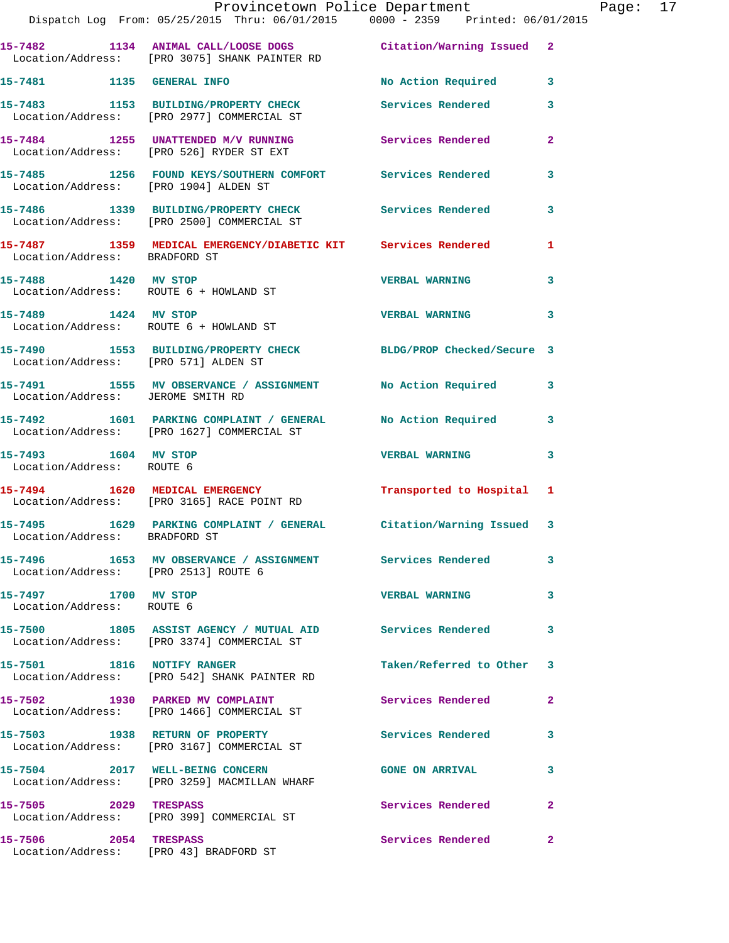|                                                                | Provincetown Police Department<br>Dispatch Log From: 05/25/2015 Thru: 06/01/2015 0000 - 2359 Printed: 06/01/2015           |                          |                |
|----------------------------------------------------------------|----------------------------------------------------------------------------------------------------------------------------|--------------------------|----------------|
|                                                                | 15-7482 1134 ANIMAL CALL/LOOSE DOGS Citation/Warning Issued<br>Location/Address: [PRO 3075] SHANK PAINTER RD               |                          | $\mathbf{2}$   |
| 15-7481 1135 GENERAL INFO                                      |                                                                                                                            | No Action Required       | 3              |
|                                                                | 15-7483 1153 BUILDING/PROPERTY CHECK<br>Location/Address: [PRO 2977] COMMERCIAL ST                                         | <b>Services Rendered</b> | 3              |
|                                                                | 15-7484 1255 UNATTENDED M/V RUNNING<br>Location/Address: [PRO 526] RYDER ST EXT                                            | Services Rendered        | $\overline{a}$ |
| Location/Address: [PRO 1904] ALDEN ST                          | 15-7485 1256 FOUND KEYS/SOUTHERN COMFORT Services Rendered                                                                 |                          | 3              |
|                                                                | 15-7486 1339 BUILDING/PROPERTY CHECK Services Rendered<br>Location/Address: [PRO 2500] COMMERCIAL ST                       |                          | 3              |
| Location/Address: BRADFORD ST                                  | 15-7487 1359 MEDICAL EMERGENCY/DIABETIC KIT Services Rendered                                                              |                          | 1              |
| 15-7488 1420 MV STOP                                           | Location/Address: ROUTE 6 + HOWLAND ST                                                                                     | <b>VERBAL WARNING</b>    | 3              |
| 15-7489 1424 MV STOP<br>Location/Address: ROUTE 6 + HOWLAND ST |                                                                                                                            | <b>VERBAL WARNING</b>    | 3              |
|                                                                | 15-7490 1553 BUILDING/PROPERTY CHECK BLDG/PROP Checked/Secure 3<br>Location/Address: [PRO 571] ALDEN ST                    |                          |                |
|                                                                | 15-7491         1555   MV OBSERVANCE / ASSIGNMENT              No Action Required<br>Location/Address:     JEROME SMITH RD |                          | 3              |
|                                                                | 15-7492 1601 PARKING COMPLAINT / GENERAL No Action Required<br>Location/Address: [PRO 1627] COMMERCIAL ST                  |                          | 3              |
| 15-7493 1604 MV STOP<br>Location/Address: ROUTE 6              |                                                                                                                            | <b>VERBAL WARNING</b>    | 3              |
|                                                                | 15-7494 1620 MEDICAL EMERGENCY<br>Location/Address: [PRO 3165] RACE POINT RD                                               | Transported to Hospital  | 1              |
| Location/Address: BRADFORD ST                                  | 15-7495 1629 PARKING COMPLAINT / GENERAL Citation/Warning Issued                                                           |                          | 3              |
| Location/Address: [PRO 2513] ROUTE 6                           | 15-7496 1653 MV OBSERVANCE / ASSIGNMENT Services Rendered                                                                  |                          | 3              |
| 15-7497 1700 MV STOP<br>Location/Address: ROUTE 6              |                                                                                                                            | <b>VERBAL WARNING</b>    | 3              |
|                                                                | 15-7500 1805 ASSIST AGENCY / MUTUAL AID Services Rendered<br>Location/Address: [PRO 3374] COMMERCIAL ST                    |                          | 3              |
|                                                                | 15-7501 1816 NOTIFY RANGER<br>Location/Address: [PRO 542] SHANK PAINTER RD                                                 | Taken/Referred to Other  | 3              |
|                                                                | 15-7502 1930 PARKED MV COMPLAINT<br>Location/Address: [PRO 1466] COMMERCIAL ST                                             | Services Rendered        | 2              |
|                                                                | 15-7503 1938 RETURN OF PROPERTY<br>Location/Address: [PRO 3167] COMMERCIAL ST                                              | <b>Services Rendered</b> | 3              |
|                                                                | 15-7504 2017 WELL-BEING CONCERN<br>Location/Address: [PRO 3259] MACMILLAN WHARF                                            | <b>GONE ON ARRIVAL</b>   | 3              |
| 15-7505 2029 TRESPASS                                          | Location/Address: [PRO 399] COMMERCIAL ST                                                                                  | Services Rendered        | $\mathbf{2}$   |
| 15-7506 2054 TRESPASS                                          | Location/Address: [PRO 43] BRADFORD ST                                                                                     | Services Rendered        | $\mathbf{2}$   |

Page: 17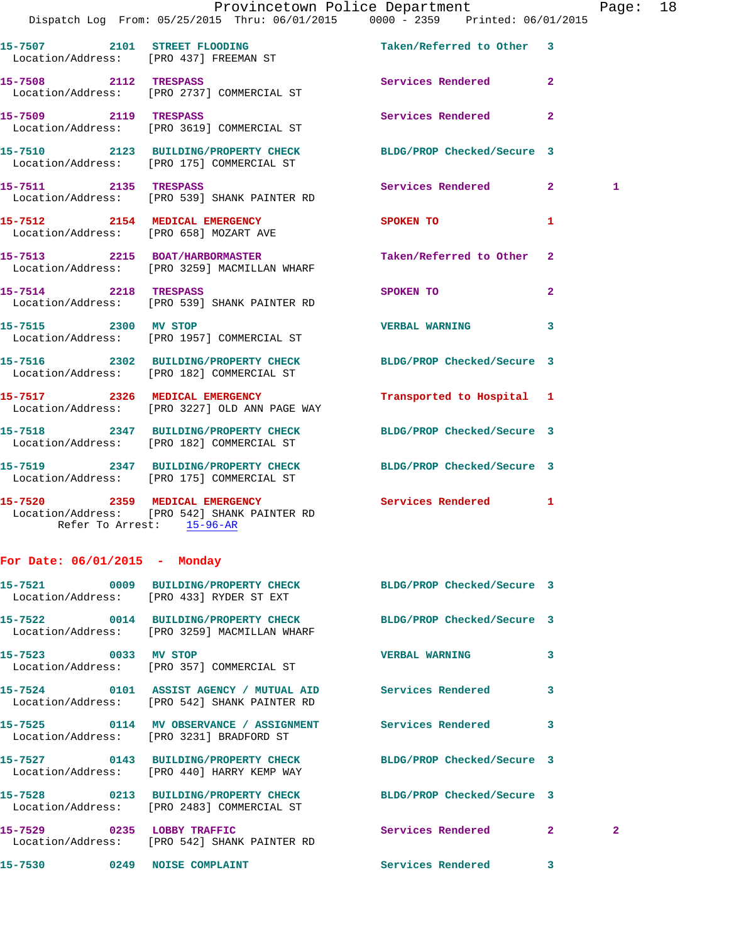|                                        |                                                                                                              | Provincetown Police Department |                | Page: 18 |  |
|----------------------------------------|--------------------------------------------------------------------------------------------------------------|--------------------------------|----------------|----------|--|
|                                        | Dispatch Log From: 05/25/2015 Thru: 06/01/2015 0000 - 2359 Printed: 06/01/2015                               |                                |                |          |  |
|                                        |                                                                                                              |                                |                |          |  |
| 15-7508 2112 TRESPASS                  | Location/Address: [PRO 2737] COMMERCIAL ST                                                                   | Services Rendered 2            |                |          |  |
|                                        | 15-7509 2119 TRESPASS<br>Location/Address: [PRO 3619] COMMERCIAL ST                                          | <b>Services Rendered</b>       | $\overline{2}$ |          |  |
|                                        | 15-7510 2123 BUILDING/PROPERTY CHECK BLDG/PROP Checked/Secure 3<br>Location/Address: [PRO 175] COMMERCIAL ST |                                |                |          |  |
|                                        | 15-7511 2135 TRESPASS<br>Location/Address: [PRO 539] SHANK PAINTER RD                                        | Services Rendered 2            |                | 1        |  |
| Location/Address: [PRO 658] MOZART AVE | 15-7512 2154 MEDICAL EMERGENCY                                                                               | SPOKEN TO                      | $\mathbf{1}$   |          |  |
|                                        | 15-7513 2215 BOAT/HARBORMASTER<br>Location/Address: [PRO 3259] MACMILLAN WHARF                               | Taken/Referred to Other 2      |                |          |  |
| 15-7514 2218 TRESPASS                  | Location/Address: [PRO 539] SHANK PAINTER RD                                                                 | SPOKEN TO                      | $\overline{2}$ |          |  |
|                                        | 15-7515 2300 MV STOP<br>Location/Address: [PRO 1957] COMMERCIAL ST                                           | <b>VERBAL WARNING</b>          | $\mathbf{3}$   |          |  |
|                                        | 15-7516 2302 BUILDING/PROPERTY CHECK BLDG/PROP Checked/Secure 3<br>Location/Address: [PRO 182] COMMERCIAL ST |                                |                |          |  |

**15-7517 2326 MEDICAL EMERGENCY Transported to Hospital 1**  Location/Address: [PRO 3227] OLD ANN PAGE WAY

**15-7518 2347 BUILDING/PROPERTY CHECK BLDG/PROP Checked/Secure 3**  Location/Address: [PRO 182] COMMERCIAL ST

**15-7519 2347 BUILDING/PROPERTY CHECK BLDG/PROP Checked/Secure 3**  Location/Address: [PRO 175] COMMERCIAL ST

**15-7520 2359 MEDICAL EMERGENCY Services Rendered 1**  Location/Address: [PRO 542] SHANK PAINTER RD Refer To Arrest: 15-96-AR

## **For Date: 06/01/2015 - Monday**

| 15-7521 0009 BUILDING/PROPERTY CHECK BLDG/PROP Checked/Secure 3<br>Location/Address: [PRO 433] RYDER ST EXT                 |                       |                         |                |
|-----------------------------------------------------------------------------------------------------------------------------|-----------------------|-------------------------|----------------|
| 15-7522 0014 BUILDING/PROPERTY CHECK BLDG/PROP Checked/Secure 3<br>Location/Address: [PRO 3259] MACMILLAN WHARF             |                       |                         |                |
| 15-7523 0033 MV STOP<br>Location/Address: [PRO 357] COMMERCIAL ST                                                           | <b>VERBAL WARNING</b> | 3                       |                |
| 15-7524      0101 ASSIST AGENCY / MUTUAL AID      Services Rendered<br>Location/Address: [PRO 542] SHANK PAINTER RD         |                       | 3                       |                |
| 15-7525       0114   MV OBSERVANCE / ASSIGNMENT       Services Rendered<br>Location/Address: [PRO 3231] BRADFORD ST         |                       | $\overline{\mathbf{3}}$ |                |
| 15-7527       0143  BUILDING/PROPERTY CHECK        BLDG/PROP Checked/Secure 3<br>Location/Address: [PRO 440] HARRY KEMP WAY |                       |                         |                |
| 15-7528 0213 BUILDING/PROPERTY CHECK BLDG/PROP Checked/Secure 3<br>Location/Address: [PRO 2483] COMMERCIAL ST               |                       |                         |                |
| Location/Address: [PRO 542] SHANK PAINTER RD                                                                                | Services Rendered     | $\overline{2}$          | $\overline{2}$ |
| 15-7530 0249 NOISE COMPLAINT                                                                                                | Services Rendered     | $\overline{\mathbf{3}}$ |                |